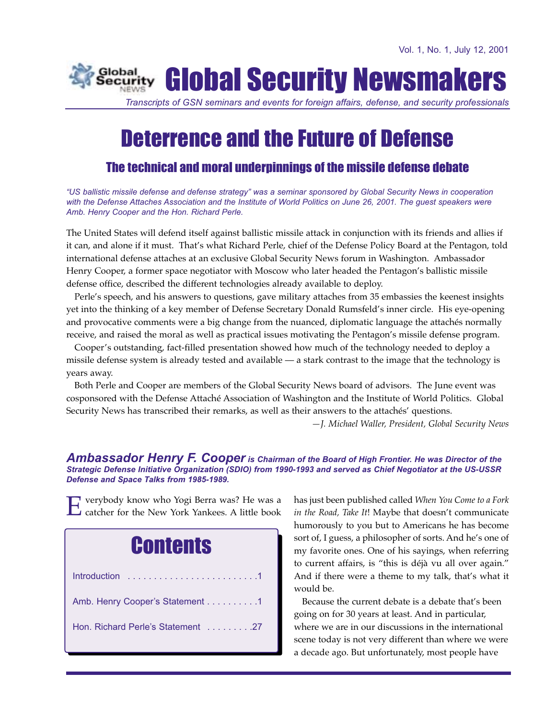

*Transcripts of GSN seminars and events for foreign affairs, defense, and security professionals*

# Deterrence and the Future of Defense

# The technical and moral underpinnings of the missile defense debate

*"US ballistic missile defense and defense strategy" was a seminar sponsored by Global Security News in cooperation with the Defense Attaches Association and the Institute of World Politics on June 26, 2001. The guest speakers were Amb. Henry Cooper and the Hon. Richard Perle.*

The United States will defend itself against ballistic missile attack in conjunction with its friends and allies if it can, and alone if it must. That's what Richard Perle, chief of the Defense Policy Board at the Pentagon, told international defense attaches at an exclusive Global Security News forum in Washington. Ambassador Henry Cooper, a former space negotiator with Moscow who later headed the Pentagon's ballistic missile defense office, described the different technologies already available to deploy.

Perle's speech, and his answers to questions, gave military attaches from 35 embassies the keenest insights yet into the thinking of a key member of Defense Secretary Donald Rumsfeld's inner circle. His eye-opening and provocative comments were a big change from the nuanced, diplomatic language the attachés normally receive, and raised the moral as well as practical issues motivating the Pentagon's missile defense program.

Cooper's outstanding, fact-filled presentation showed how much of the technology needed to deploy a missile defense system is already tested and available — a stark contrast to the image that the technology is years away.

Both Perle and Cooper are members of the Global Security News board of advisors. The June event was cosponsored with the Defense Attaché Association of Washington and the Institute of World Politics. Global Security News has transcribed their remarks, as well as their answers to the attachés' questions.

*—J. Michael Waller, President, Global Security News*

#### *Ambassador Henry F. Cooper is Chairman of the Board of High Frontier. He was Director of the Strategic Defense Initiative Organization (SDIO) from 1990-1993 and served as Chief Negotiator at the US-USSR Defense and Space Talks from 1985-1989.*

verybody know who Yogi Berra was? He was a catcher for the New York Yankees. A little book



has just been published called *When You Come to a Fork in the Road, Take It*! Maybe that doesn't communicate humorously to you but to Americans he has become sort of, I guess, a philosopher of sorts. And he's one of my favorite ones. One of his sayings, when referring to current affairs, is "this is déjà vu all over again." And if there were a theme to my talk, that's what it would be.

Because the current debate is a debate that's been going on for 30 years at least. And in particular, where we are in our discussions in the international scene today is not very different than where we were a decade ago. But unfortunately, most people have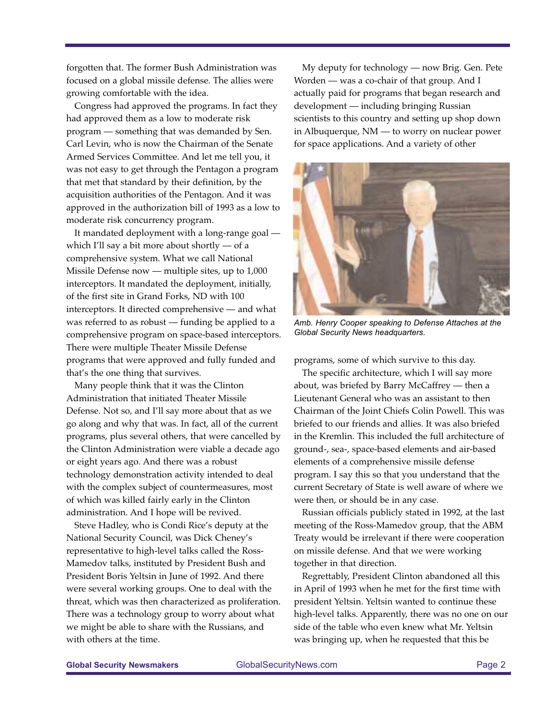forgotten that. The former Bush Administration was focused on a global missile defense. The allies were growing comfortable with the idea.

Congress had approved the programs. In fact they had approved them as a low to moderate risk program — something that was demanded by Sen. Carl Levin, who is now the Chairman of the Senate Armed Services Committee. And let me tell you, it was not easy to get through the Pentagon a program that met that standard by their definition, by the acquisition authorities of the Pentagon. And it was approved in the authorization bill of 1993 as a low to moderate risk concurrency program.

It mandated deployment with a long-range goal which I'll say a bit more about shortly — of a comprehensive system. What we call National Missile Defense now — multiple sites, up to 1,000 interceptors. It mandated the deployment, initially, of the first site in Grand Forks, ND with 100 interceptors. It directed comprehensive — and what was referred to as robust — funding be applied to a comprehensive program on space-based interceptors. There were multiple Theater Missile Defense programs that were approved and fully funded and that's the one thing that survives.

Many people think that it was the Clinton Administration that initiated Theater Missile Defense. Not so, and I'll say more about that as we go along and why that was. In fact, all of the current programs, plus several others, that were cancelled by the Clinton Administration were viable a decade ago or eight years ago. And there was a robust technology demonstration activity intended to deal with the complex subject of countermeasures, most of which was killed fairly early in the Clinton administration. And I hope will be revived.

Steve Hadley, who is Condi Rice's deputy at the National Security Council, was Dick Cheney's representative to high-level talks called the Ross-Mamedov talks, instituted by President Bush and President Boris Yeltsin in June of 1992. And there were several working groups. One to deal with the threat, which was then characterized as proliferation. There was a technology group to worry about what we might be able to share with the Russians, and with others at the time.

My deputy for technology — now Brig. Gen. Pete Worden — was a co-chair of that group. And I actually paid for programs that began research and development — including bringing Russian scientists to this country and setting up shop down in Albuquerque, NM — to worry on nuclear power for space applications. And a variety of other



*Amb. Henry Cooper speaking to Defense Attaches at the Global Security News headquarters.*

programs, some of which survive to this day.

The specific architecture, which I will say more about, was briefed by Barry McCaffrey — then a Lieutenant General who was an assistant to then Chairman of the Joint Chiefs Colin Powell. This was briefed to our friends and allies. It was also briefed in the Kremlin. This included the full architecture of ground-, sea-, space-based elements and air-based elements of a comprehensive missile defense program. I say this so that you understand that the current Secretary of State is well aware of where we were then, or should be in any case.

Russian officials publicly stated in 1992, at the last meeting of the Ross-Mamedov group, that the ABM Treaty would be irrelevant if there were cooperation on missile defense. And that we were working together in that direction.

Regrettably, President Clinton abandoned all this in April of 1993 when he met for the first time with president Yeltsin. Yeltsin wanted to continue these high-level talks. Apparently, there was no one on our side of the table who even knew what Mr. Yeltsin was bringing up, when he requested that this be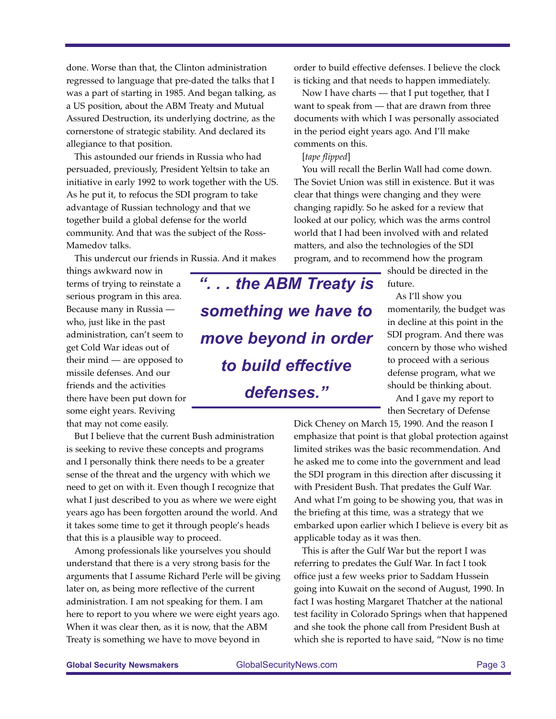done. Worse than that, the Clinton administration regressed to language that pre-dated the talks that I was a part of starting in 1985. And began talking, as a US position, about the ABM Treaty and Mutual Assured Destruction, its underlying doctrine, as the cornerstone of strategic stability. And declared its allegiance to that position.

This astounded our friends in Russia who had persuaded, previously, President Yeltsin to take an initiative in early 1992 to work together with the US. As he put it, to refocus the SDI program to take advantage of Russian technology and that we together build a global defense for the world community. And that was the subject of the Ross-Mamedov talks.

This undercut our friends in Russia. And it makes

things awkward now in terms of trying to reinstate a serious program in this area. Because many in Russia who, just like in the past administration, can't seem to get Cold War ideas out of their mind — are opposed to missile defenses. And our friends and the activities there have been put down for some eight years. Reviving that may not come easily.

But I believe that the current Bush administration is seeking to revive these concepts and programs and I personally think there needs to be a greater sense of the threat and the urgency with which we need to get on with it. Even though I recognize that what I just described to you as where we were eight years ago has been forgotten around the world. And it takes some time to get it through people's heads that this is a plausible way to proceed.

Among professionals like yourselves you should understand that there is a very strong basis for the arguments that I assume Richard Perle will be giving later on, as being more reflective of the current administration. I am not speaking for them. I am here to report to you where we were eight years ago. When it was clear then, as it is now, that the ABM Treaty is something we have to move beyond in

order to build effective defenses. I believe the clock is ticking and that needs to happen immediately.

Now I have charts — that I put together, that I want to speak from — that are drawn from three documents with which I was personally associated in the period eight years ago. And I'll make comments on this.

[*tape flipped*]

You will recall the Berlin Wall had come down. The Soviet Union was still in existence. But it was clear that things were changing and they were changing rapidly. So he asked for a review that looked at our policy, which was the arms control world that I had been involved with and related matters, and also the technologies of the SDI program, and to recommend how the program

*". . . the ABM Treaty is something we have to move beyond in order to build effective defenses."*

should be directed in the future.

As I'll show you momentarily, the budget was in decline at this point in the SDI program. And there was concern by those who wished to proceed with a serious defense program, what we should be thinking about.

And I gave my report to then Secretary of Defense

Dick Cheney on March 15, 1990. And the reason I emphasize that point is that global protection against limited strikes was the basic recommendation. And he asked me to come into the government and lead the SDI program in this direction after discussing it with President Bush. That predates the Gulf War. And what I'm going to be showing you, that was in the briefing at this time, was a strategy that we embarked upon earlier which I believe is every bit as applicable today as it was then.

This is after the Gulf War but the report I was referring to predates the Gulf War. In fact I took office just a few weeks prior to Saddam Hussein going into Kuwait on the second of August, 1990. In fact I was hosting Margaret Thatcher at the national test facility in Colorado Springs when that happened and she took the phone call from President Bush at which she is reported to have said, "Now is no time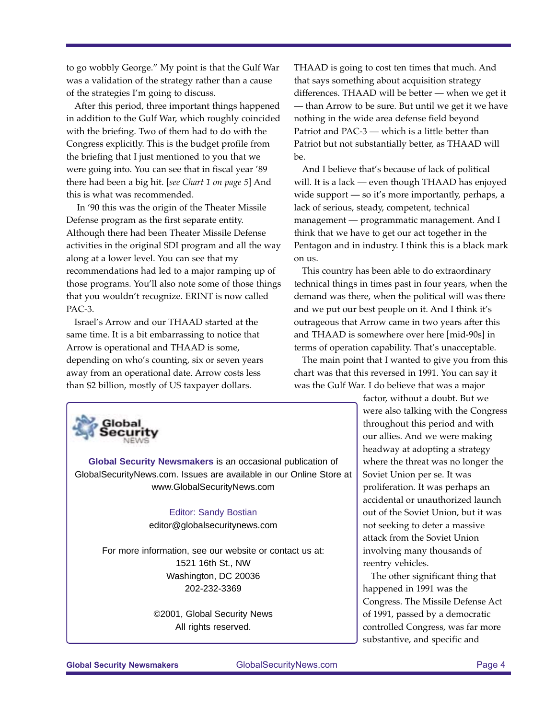to go wobbly George." My point is that the Gulf War was a validation of the strategy rather than a cause of the strategies I'm going to discuss.

After this period, three important things happened in addition to the Gulf War, which roughly coincided with the briefing. Two of them had to do with the Congress explicitly. This is the budget profile from the briefing that I just mentioned to you that we were going into. You can see that in fiscal year '89 there had been a big hit. [*see Chart 1 on page 5*] And this is what was recommended.

In '90 this was the origin of the Theater Missile Defense program as the first separate entity. Although there had been Theater Missile Defense activities in the original SDI program and all the way along at a lower level. You can see that my recommendations had led to a major ramping up of those programs. You'll also note some of those things that you wouldn't recognize. ERINT is now called PAC-3.

Israel's Arrow and our THAAD started at the same time. It is a bit embarrassing to notice that Arrow is operational and THAAD is some, depending on who's counting, six or seven years away from an operational date. Arrow costs less than \$2 billion, mostly of US taxpayer dollars.

THAAD is going to cost ten times that much. And that says something about acquisition strategy differences. THAAD will be better — when we get it — than Arrow to be sure. But until we get it we have nothing in the wide area defense field beyond Patriot and PAC-3 — which is a little better than Patriot but not substantially better, as THAAD will be.

And I believe that's because of lack of political will. It is a lack — even though THAAD has enjoyed wide support — so it's more importantly, perhaps, a lack of serious, steady, competent, technical management — programmatic management. And I think that we have to get our act together in the Pentagon and in industry. I think this is a black mark on us.

This country has been able to do extraordinary technical things in times past in four years, when the demand was there, when the political will was there and we put our best people on it. And I think it's outrageous that Arrow came in two years after this and THAAD is somewhere over here [mid-90s] in terms of operation capability. That's unacceptable.

The main point that I wanted to give you from this chart was that this reversed in 1991. You can say it was the Gulf War. I do believe that was a major



**Global Security Newsmakers** is an occasional publication of GlobalSecurityNews.com. Issues are available in our Online Store at www.GlobalSecurityNews.com

> Editor: Sandy Bostian editor@globalsecuritynews.com

For more information, see our website or contact us at: 1521 16th St., NW Washington, DC 20036 202-232-3369

> ©2001, Global Security News All rights reserved.

factor, without a doubt. But we were also talking with the Congress throughout this period and with our allies. And we were making headway at adopting a strategy where the threat was no longer the Soviet Union per se. It was proliferation. It was perhaps an accidental or unauthorized launch out of the Soviet Union, but it was not seeking to deter a massive attack from the Soviet Union involving many thousands of reentry vehicles.

The other significant thing that happened in 1991 was the Congress. The Missile Defense Act of 1991, passed by a democratic controlled Congress, was far more substantive, and specific and

**Global Security Newsmakers** GlobalSecurityNews.com Page 4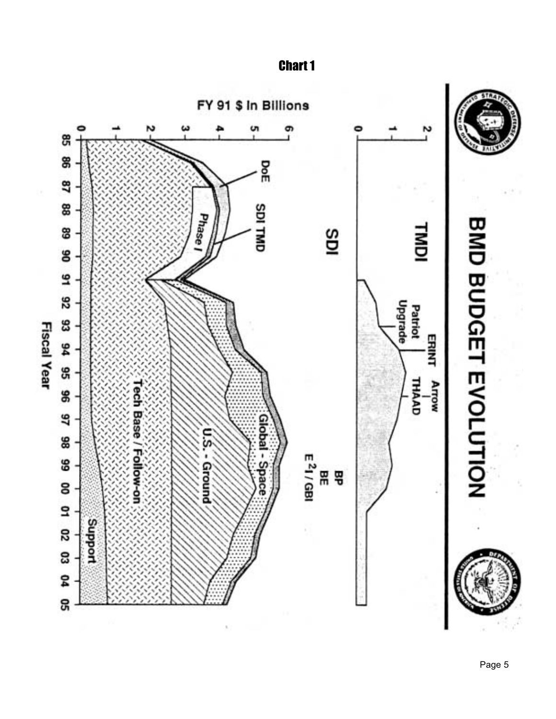Chart 1

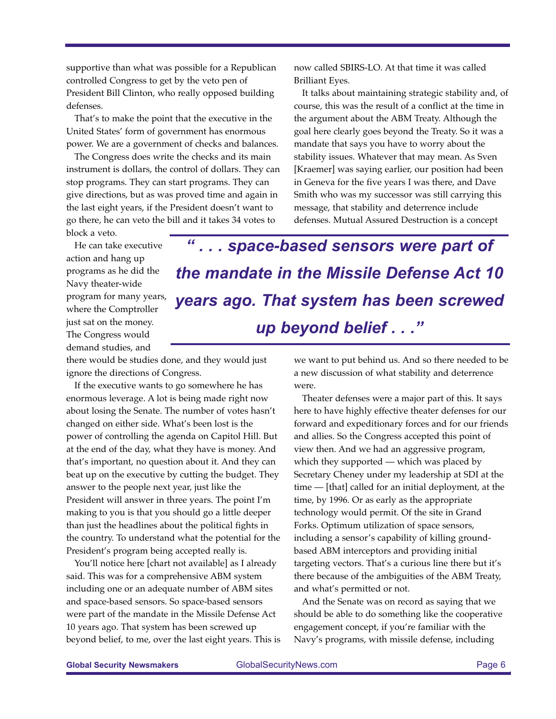supportive than what was possible for a Republican controlled Congress to get by the veto pen of President Bill Clinton, who really opposed building defenses.

That's to make the point that the executive in the United States' form of government has enormous power. We are a government of checks and balances.

The Congress does write the checks and its main instrument is dollars, the control of dollars. They can stop programs. They can start programs. They can give directions, but as was proved time and again in the last eight years, if the President doesn't want to go there, he can veto the bill and it takes 34 votes to

now called SBIRS-LO. At that time it was called Brilliant Eyes.

It talks about maintaining strategic stability and, of course, this was the result of a conflict at the time in the argument about the ABM Treaty. Although the goal here clearly goes beyond the Treaty. So it was a mandate that says you have to worry about the stability issues. Whatever that may mean. As Sven [Kraemer] was saying earlier, our position had been in Geneva for the five years I was there, and Dave Smith who was my successor was still carrying this message, that stability and deterrence include defenses. Mutual Assured Destruction is a concept

block a veto.

He can take executive action and hang up programs as he did the Navy theater-wide program for many years, where the Comptroller just sat on the money. The Congress would demand studies, and

there would be studies done, and they would just ignore the directions of Congress.

If the executive wants to go somewhere he has enormous leverage. A lot is being made right now about losing the Senate. The number of votes hasn't changed on either side. What's been lost is the power of controlling the agenda on Capitol Hill. But at the end of the day, what they have is money. And that's important, no question about it. And they can beat up on the executive by cutting the budget. They answer to the people next year, just like the President will answer in three years. The point I'm making to you is that you should go a little deeper than just the headlines about the political fights in the country. To understand what the potential for the President's program being accepted really is.

You'll notice here [chart not available] as I already said. This was for a comprehensive ABM system including one or an adequate number of ABM sites and space-based sensors. So space-based sensors were part of the mandate in the Missile Defense Act 10 years ago. That system has been screwed up beyond belief, to me, over the last eight years. This is

. . . space-based sensors were part of *the mandate in the Missile Defense Act 10 years ago. That system has been screwed up beyond belief . . ."*

> we want to put behind us. And so there needed to be a new discussion of what stability and deterrence were.

> Theater defenses were a major part of this. It says here to have highly effective theater defenses for our forward and expeditionary forces and for our friends and allies. So the Congress accepted this point of view then. And we had an aggressive program, which they supported — which was placed by Secretary Cheney under my leadership at SDI at the time — [that] called for an initial deployment, at the time, by 1996. Or as early as the appropriate technology would permit. Of the site in Grand Forks. Optimum utilization of space sensors, including a sensor's capability of killing groundbased ABM interceptors and providing initial targeting vectors. That's a curious line there but it's there because of the ambiguities of the ABM Treaty, and what's permitted or not.

And the Senate was on record as saying that we should be able to do something like the cooperative engagement concept, if you're familiar with the Navy's programs, with missile defense, including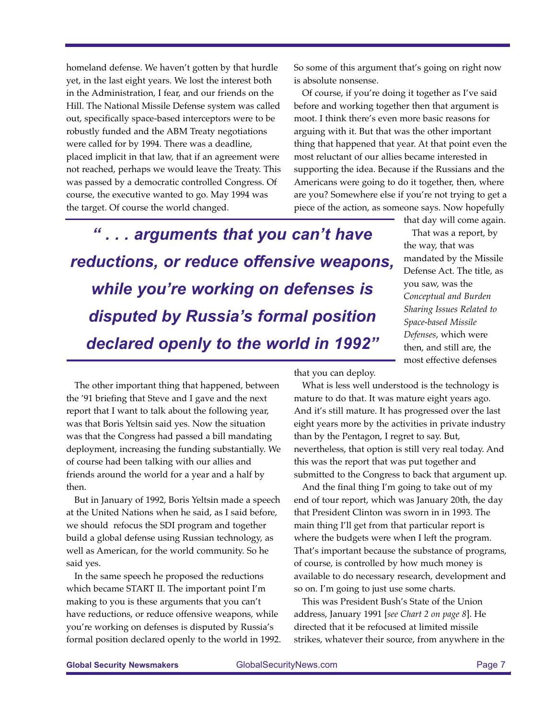homeland defense. We haven't gotten by that hurdle yet, in the last eight years. We lost the interest both in the Administration, I fear, and our friends on the Hill. The National Missile Defense system was called out, specifically space-based interceptors were to be robustly funded and the ABM Treaty negotiations were called for by 1994. There was a deadline, placed implicit in that law, that if an agreement were not reached, perhaps we would leave the Treaty. This was passed by a democratic controlled Congress. Of course, the executive wanted to go. May 1994 was the target. Of course the world changed.

So some of this argument that's going on right now is absolute nonsense.

Of course, if you're doing it together as I've said before and working together then that argument is moot. I think there's even more basic reasons for arguing with it. But that was the other important thing that happened that year. At that point even the most reluctant of our allies became interested in supporting the idea. Because if the Russians and the Americans were going to do it together, then, where are you? Somewhere else if you're not trying to get a piece of the action, as someone says. Now hopefully

*" . . . arguments that you can't have reductions, or reduce offensive weapons, while you're working on defenses is disputed by Russia's formal position declared openly to the world in 1992"*

that day will come again. That was a report, by the way, that was mandated by the Missile Defense Act. The title, as you saw, was the *Conceptual and Burden Sharing Issues Related to Space-based Missile Defenses*, which were then, and still are, the most effective defenses

The other important thing that happened, between the '91 briefing that Steve and I gave and the next report that I want to talk about the following year, was that Boris Yeltsin said yes. Now the situation was that the Congress had passed a bill mandating deployment, increasing the funding substantially. We of course had been talking with our allies and friends around the world for a year and a half by then.

But in January of 1992, Boris Yeltsin made a speech at the United Nations when he said, as I said before, we should refocus the SDI program and together build a global defense using Russian technology, as well as American, for the world community. So he said yes.

In the same speech he proposed the reductions which became START II. The important point I'm making to you is these arguments that you can't have reductions, or reduce offensive weapons, while you're working on defenses is disputed by Russia's formal position declared openly to the world in 1992. that you can deploy.

What is less well understood is the technology is mature to do that. It was mature eight years ago. And it's still mature. It has progressed over the last eight years more by the activities in private industry than by the Pentagon, I regret to say. But, nevertheless, that option is still very real today. And this was the report that was put together and submitted to the Congress to back that argument up.

And the final thing I'm going to take out of my end of tour report, which was January 20th, the day that President Clinton was sworn in in 1993. The main thing I'll get from that particular report is where the budgets were when I left the program. That's important because the substance of programs, of course, is controlled by how much money is available to do necessary research, development and so on. I'm going to just use some charts.

This was President Bush's State of the Union address, January 1991 [*see Chart 2 on page 8*]. He directed that it be refocused at limited missile strikes, whatever their source, from anywhere in the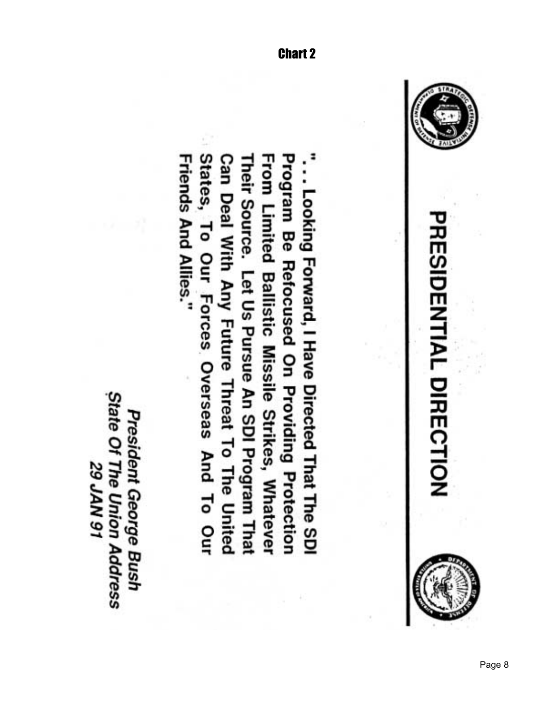

States, To Our Forces Overseas And To Our Can Deal With Any Future Threat To The United From Limited Ballistic Missile Strikes, Whatever **Program Be Refocused On Providing Protection** Friends And Allies." Their Source. Let Us Pursue An SDI Program That ... Looking Forward, I Have Directed That The SDI

State Of The Union Address President George Bush **16 NVr 62**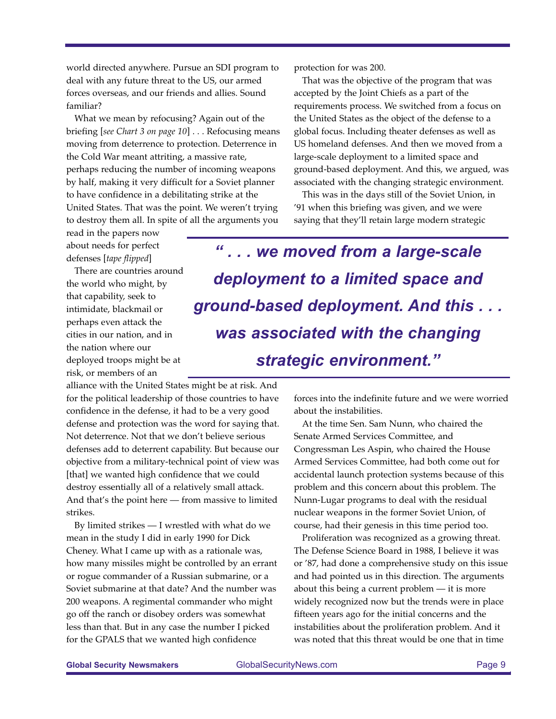world directed anywhere. Pursue an SDI program to deal with any future threat to the US, our armed forces overseas, and our friends and allies. Sound familiar?

What we mean by refocusing? Again out of the briefing [*see Chart 3 on page 10*] . . . Refocusing means moving from deterrence to protection. Deterrence in the Cold War meant attriting, a massive rate, perhaps reducing the number of incoming weapons by half, making it very difficult for a Soviet planner to have confidence in a debilitating strike at the United States. That was the point. We weren't trying to destroy them all. In spite of all the arguments you

protection for was 200.

That was the objective of the program that was accepted by the Joint Chiefs as a part of the requirements process. We switched from a focus on the United States as the object of the defense to a global focus. Including theater defenses as well as US homeland defenses. And then we moved from a large-scale deployment to a limited space and ground-based deployment. And this, we argued, was associated with the changing strategic environment.

This was in the days still of the Soviet Union, in '91 when this briefing was given, and we were saying that they'll retain large modern strategic

read in the papers now about needs for perfect defenses [*tape flipped*]

There are countries around the world who might, by that capability, seek to intimidate, blackmail or perhaps even attack the cities in our nation, and in the nation where our deployed troops might be at risk, or members of an

alliance with the United States might be at risk. And for the political leadership of those countries to have confidence in the defense, it had to be a very good defense and protection was the word for saying that. Not deterrence. Not that we don't believe serious defenses add to deterrent capability. But because our objective from a military-technical point of view was [that] we wanted high confidence that we could destroy essentially all of a relatively small attack. And that's the point here — from massive to limited strikes.

By limited strikes — I wrestled with what do we mean in the study I did in early 1990 for Dick Cheney. What I came up with as a rationale was, how many missiles might be controlled by an errant or rogue commander of a Russian submarine, or a Soviet submarine at that date? And the number was 200 weapons. A regimental commander who might go off the ranch or disobey orders was somewhat less than that. But in any case the number I picked for the GPALS that we wanted high confidence

*" . . . we moved from a large-scale deployment to a limited space and ground-based deployment. And this . . . was associated with the changing strategic environment."*

> forces into the indefinite future and we were worried about the instabilities.

At the time Sen. Sam Nunn, who chaired the Senate Armed Services Committee, and Congressman Les Aspin, who chaired the House Armed Services Committee, had both come out for accidental launch protection systems because of this problem and this concern about this problem. The Nunn-Lugar programs to deal with the residual nuclear weapons in the former Soviet Union, of course, had their genesis in this time period too.

Proliferation was recognized as a growing threat. The Defense Science Board in 1988, I believe it was or '87, had done a comprehensive study on this issue and had pointed us in this direction. The arguments about this being a current problem — it is more widely recognized now but the trends were in place fifteen years ago for the initial concerns and the instabilities about the proliferation problem. And it was noted that this threat would be one that in time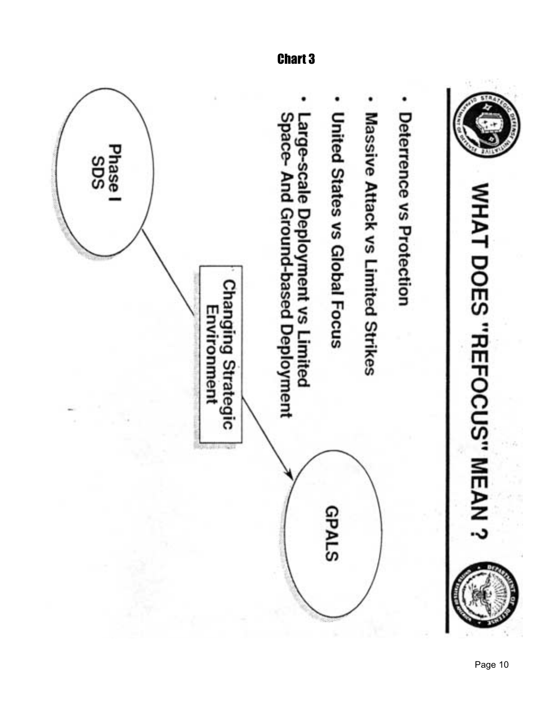





- Deterrence vs Protection
- Massive Attack vs Limited Strikes



Chart 3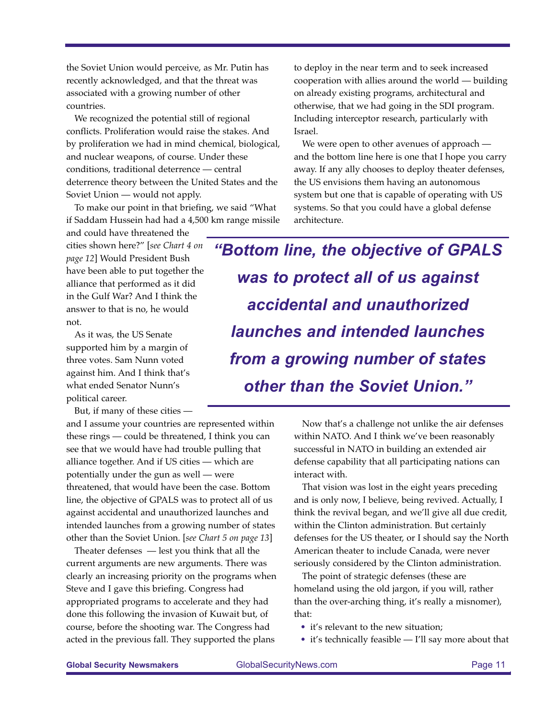the Soviet Union would perceive, as Mr. Putin has recently acknowledged, and that the threat was associated with a growing number of other countries.

We recognized the potential still of regional conflicts. Proliferation would raise the stakes. And by proliferation we had in mind chemical, biological, and nuclear weapons, of course. Under these conditions, traditional deterrence — central deterrence theory between the United States and the Soviet Union — would not apply.

To make our point in that briefing, we said "What if Saddam Hussein had had a 4,500 km range missile

and could have threatened the cities shown here?" [*see Chart 4 on page 12*] Would President Bush have been able to put together the alliance that performed as it did in the Gulf War? And I think the answer to that is no, he would not.

As it was, the US Senate supported him by a margin of three votes. Sam Nunn voted against him. And I think that's what ended Senator Nunn's political career.

But, if many of these cities —

and I assume your countries are represented within these rings — could be threatened, I think you can see that we would have had trouble pulling that alliance together. And if US cities — which are potentially under the gun as well — were threatened, that would have been the case. Bottom line, the objective of GPALS was to protect all of us against accidental and unauthorized launches and intended launches from a growing number of states other than the Soviet Union. [*see Chart 5 on page 13*]

Theater defenses — lest you think that all the current arguments are new arguments. There was clearly an increasing priority on the programs when Steve and I gave this briefing. Congress had appropriated programs to accelerate and they had done this following the invasion of Kuwait but, of course, before the shooting war. The Congress had acted in the previous fall. They supported the plans

to deploy in the near term and to seek increased cooperation with allies around the world — building on already existing programs, architectural and otherwise, that we had going in the SDI program. Including interceptor research, particularly with Israel.

We were open to other avenues of approach and the bottom line here is one that I hope you carry away. If any ally chooses to deploy theater defenses, the US envisions them having an autonomous system but one that is capable of operating with US systems. So that you could have a global defense architecture.

*"Bottom line, the objective of GPALS was to protect all of us against accidental and unauthorized launches and intended launches from a growing number of states other than the Soviet Union."*

> Now that's a challenge not unlike the air defenses within NATO. And I think we've been reasonably successful in NATO in building an extended air defense capability that all participating nations can interact with.

That vision was lost in the eight years preceding and is only now, I believe, being revived. Actually, I think the revival began, and we'll give all due credit, within the Clinton administration. But certainly defenses for the US theater, or I should say the North American theater to include Canada, were never seriously considered by the Clinton administration.

The point of strategic defenses (these are homeland using the old jargon, if you will, rather than the over-arching thing, it's really a misnomer), that:

- it's relevant to the new situation;
- it's technically feasible I'll say more about that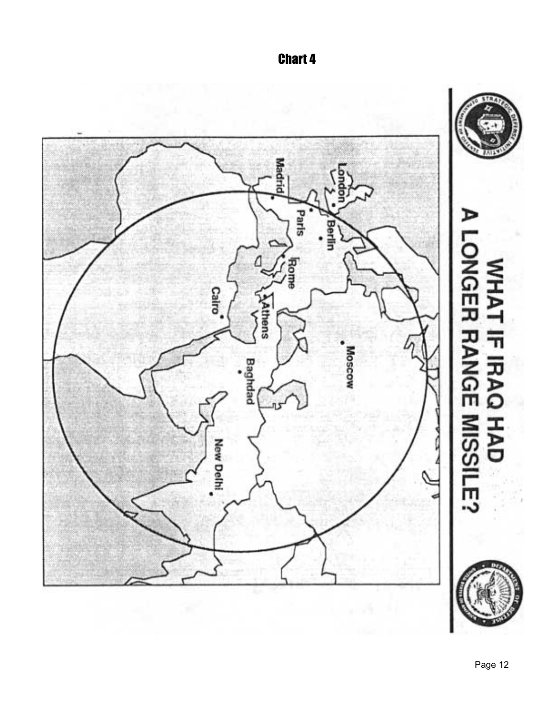

Chart 4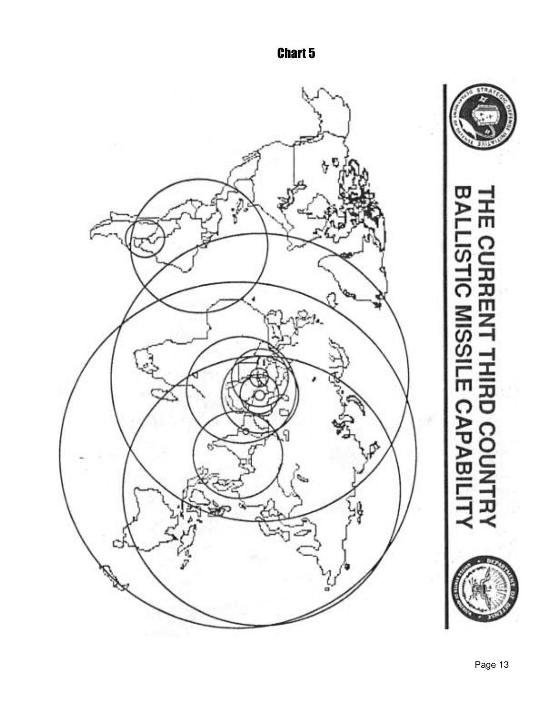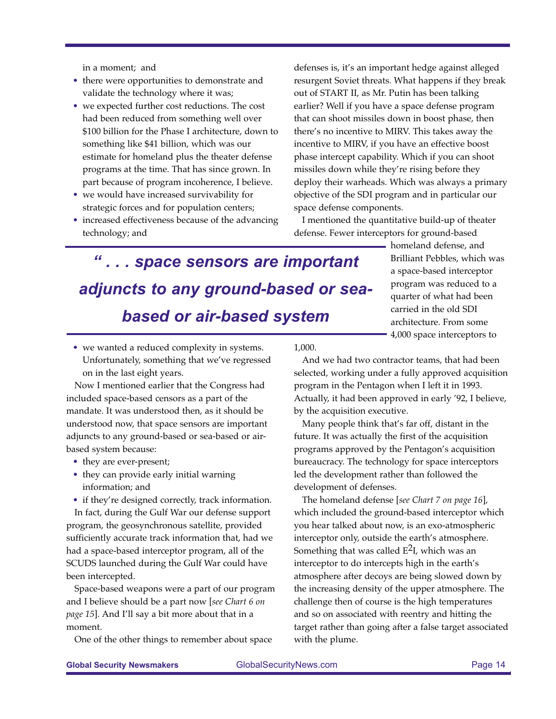in a moment; and

- there were opportunities to demonstrate and validate the technology where it was;
- we expected further cost reductions. The cost had been reduced from something well over \$100 billion for the Phase I architecture, down to something like \$41 billion, which was our estimate for homeland plus the theater defense programs at the time. That has since grown. In part because of program incoherence, I believe.
- we would have increased survivability for strategic forces and for population centers;
- increased effectiveness because of the advancing technology; and

defenses is, it's an important hedge against alleged resurgent Soviet threats. What happens if they break out of START II, as Mr. Putin has been talking earlier? Well if you have a space defense program that can shoot missiles down in boost phase, then there's no incentive to MIRV. This takes away the incentive to MIRV, if you have an effective boost phase intercept capability. Which if you can shoot missiles down while they're rising before they deploy their warheads. Which was always a primary objective of the SDI program and in particular our space defense components.

I mentioned the quantitative build-up of theater defense. Fewer interceptors for ground-based

# *" . . . space sensors are important adjuncts to any ground-based or seabased or air-based system*

homeland defense, and Brilliant Pebbles, which was a space-based interceptor program was reduced to a quarter of what had been carried in the old SDI architecture. From some 4,000 space interceptors to

• we wanted a reduced complexity in systems. Unfortunately, something that we've regressed on in the last eight years.

Now I mentioned earlier that the Congress had included space-based censors as a part of the mandate. It was understood then, as it should be understood now, that space sensors are important adjuncts to any ground-based or sea-based or airbased system because:

- they are ever-present;
- they can provide early initial warning information; and
- if they're designed correctly, track information.

In fact, during the Gulf War our defense support program, the geosynchronous satellite, provided sufficiently accurate track information that, had we had a space-based interceptor program, all of the SCUDS launched during the Gulf War could have been intercepted.

Space-based weapons were a part of our program and I believe should be a part now [*see Chart 6 on page 15*]. And I'll say a bit more about that in a moment.

One of the other things to remember about space

1,000.

And we had two contractor teams, that had been selected, working under a fully approved acquisition program in the Pentagon when I left it in 1993. Actually, it had been approved in early '92, I believe, by the acquisition executive.

Many people think that's far off, distant in the future. It was actually the first of the acquisition programs approved by the Pentagon's acquisition bureaucracy. The technology for space interceptors led the development rather than followed the development of defenses.

The homeland defense [*see Chart 7 on page 16*], which included the ground-based interceptor which you hear talked about now, is an exo-atmospheric interceptor only, outside the earth's atmosphere. Something that was called  $E^2I$ , which was an interceptor to do intercepts high in the earth's atmosphere after decoys are being slowed down by the increasing density of the upper atmosphere. The challenge then of course is the high temperatures and so on associated with reentry and hitting the target rather than going after a false target associated with the plume.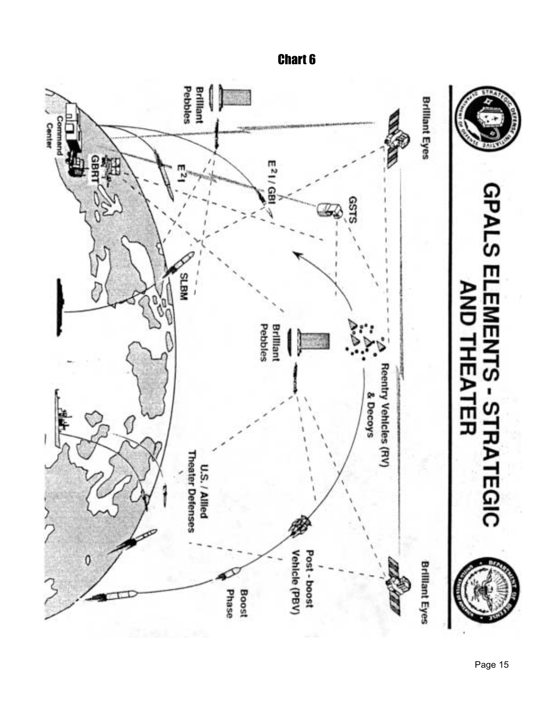

Chart 6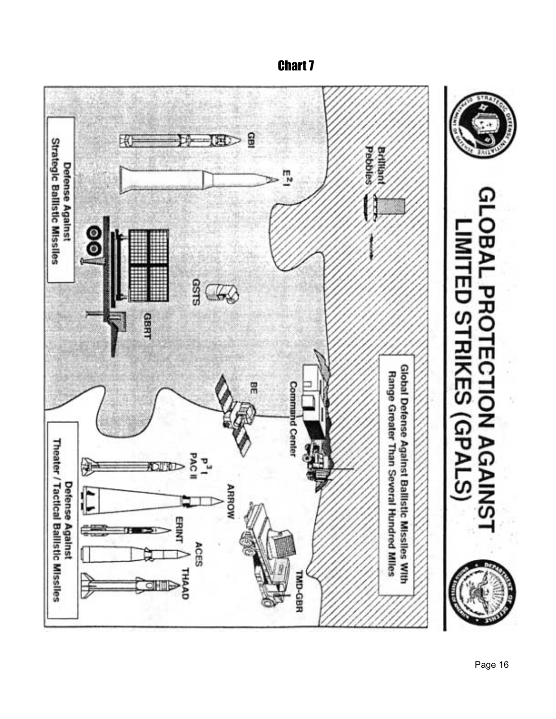

# Chart 7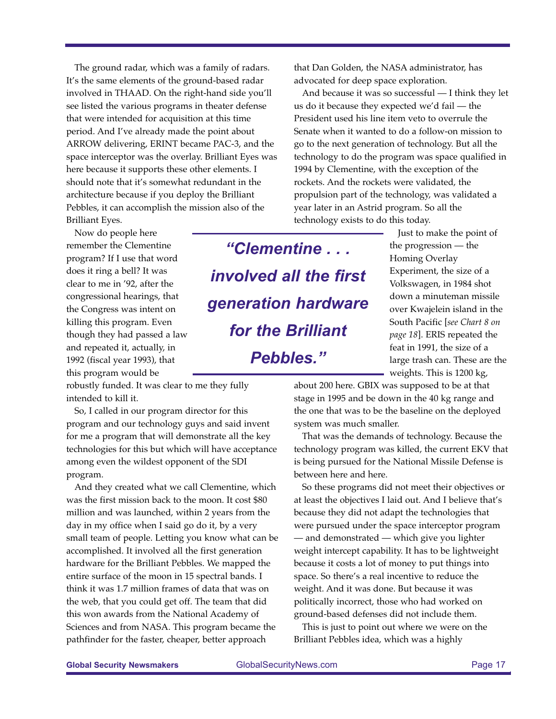The ground radar, which was a family of radars. It's the same elements of the ground-based radar involved in THAAD. On the right-hand side you'll see listed the various programs in theater defense that were intended for acquisition at this time period. And I've already made the point about ARROW delivering, ERINT became PAC-3, and the space interceptor was the overlay. Brilliant Eyes was here because it supports these other elements. I should note that it's somewhat redundant in the architecture because if you deploy the Brilliant Pebbles, it can accomplish the mission also of the Brilliant Eyes.

Now do people here remember the Clementine program? If I use that word does it ring a bell? It was clear to me in '92, after the congressional hearings, that the Congress was intent on killing this program. Even though they had passed a law and repeated it, actually, in 1992 (fiscal year 1993), that this program would be

robustly funded. It was clear to me they fully intended to kill it.

So, I called in our program director for this program and our technology guys and said invent for me a program that will demonstrate all the key technologies for this but which will have acceptance among even the wildest opponent of the SDI program.

And they created what we call Clementine, which was the first mission back to the moon. It cost \$80 million and was launched, within 2 years from the day in my office when I said go do it, by a very small team of people. Letting you know what can be accomplished. It involved all the first generation hardware for the Brilliant Pebbles. We mapped the entire surface of the moon in 15 spectral bands. I think it was 1.7 million frames of data that was on the web, that you could get off. The team that did this won awards from the National Academy of Sciences and from NASA. This program became the pathfinder for the faster, cheaper, better approach

that Dan Golden, the NASA administrator, has advocated for deep space exploration.

And because it was so successful — I think they let us do it because they expected we'd fail — the President used his line item veto to overrule the Senate when it wanted to do a follow-on mission to go to the next generation of technology. But all the technology to do the program was space qualified in 1994 by Clementine, with the exception of the rockets. And the rockets were validated, the propulsion part of the technology, was validated a year later in an Astrid program. So all the technology exists to do this today.

*"Clementine . . . involved all the first generation hardware for the Brilliant Pebbles."*

Just to make the point of the progression — the Homing Overlay Experiment, the size of a Volkswagen, in 1984 shot down a minuteman missile over Kwajelein island in the South Pacific [*see Chart 8 on page 18*]. ERIS repeated the feat in 1991, the size of a large trash can. These are the weights. This is 1200 kg,

about 200 here. GBIX was supposed to be at that stage in 1995 and be down in the 40 kg range and the one that was to be the baseline on the deployed system was much smaller.

That was the demands of technology. Because the technology program was killed, the current EKV that is being pursued for the National Missile Defense is between here and here.

So these programs did not meet their objectives or at least the objectives I laid out. And I believe that's because they did not adapt the technologies that were pursued under the space interceptor program — and demonstrated — which give you lighter weight intercept capability. It has to be lightweight because it costs a lot of money to put things into space. So there's a real incentive to reduce the weight. And it was done. But because it was politically incorrect, those who had worked on ground-based defenses did not include them.

This is just to point out where we were on the Brilliant Pebbles idea, which was a highly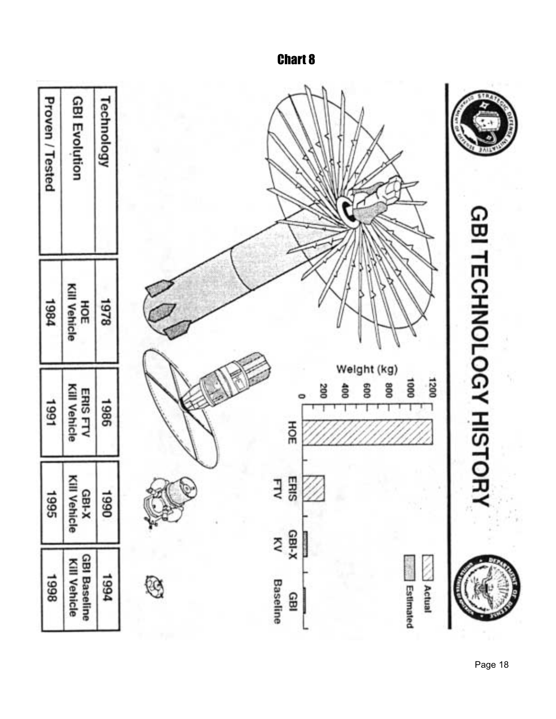

Chart 8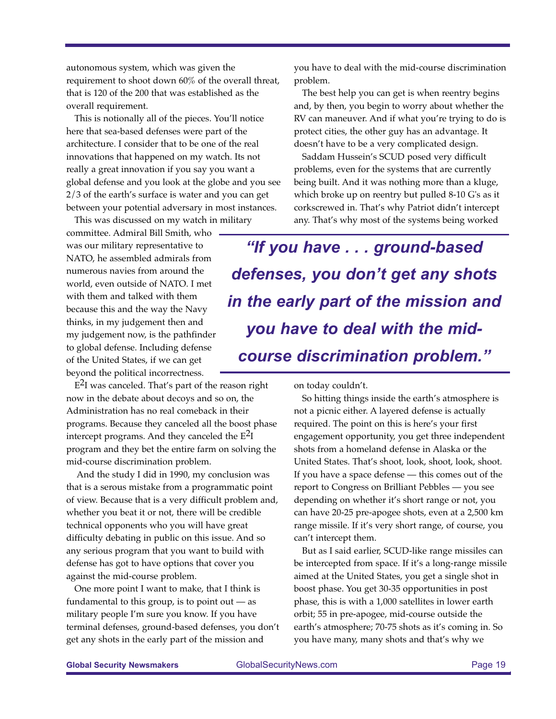autonomous system, which was given the requirement to shoot down 60% of the overall threat, that is 120 of the 200 that was established as the overall requirement.

This is notionally all of the pieces. You'll notice here that sea-based defenses were part of the architecture. I consider that to be one of the real innovations that happened on my watch. Its not really a great innovation if you say you want a global defense and you look at the globe and you see 2/3 of the earth's surface is water and you can get between your potential adversary in most instances.

This was discussed on my watch in military committee. Admiral Bill Smith, who was our military representative to NATO, he assembled admirals from numerous navies from around the world, even outside of NATO. I met with them and talked with them because this and the way the Navy thinks, in my judgement then and my judgement now, is the pathfinder to global defense. Including defense of the United States, if we can get beyond the political incorrectness.

 $E<sup>2</sup>I$  was canceled. That's part of the reason right now in the debate about decoys and so on, the Administration has no real comeback in their programs. Because they canceled all the boost phase intercept programs. And they canceled the  $E^2I$ program and they bet the entire farm on solving the mid-course discrimination problem.

And the study I did in 1990, my conclusion was that is a serous mistake from a programmatic point of view. Because that is a very difficult problem and, whether you beat it or not, there will be credible technical opponents who you will have great difficulty debating in public on this issue. And so any serious program that you want to build with defense has got to have options that cover you against the mid-course problem.

One more point I want to make, that I think is fundamental to this group, is to point out  $-$  as military people I'm sure you know. If you have terminal defenses, ground-based defenses, you don't get any shots in the early part of the mission and

you have to deal with the mid-course discrimination problem.

The best help you can get is when reentry begins and, by then, you begin to worry about whether the RV can maneuver. And if what you're trying to do is protect cities, the other guy has an advantage. It doesn't have to be a very complicated design.

Saddam Hussein's SCUD posed very difficult problems, even for the systems that are currently being built. And it was nothing more than a kluge, which broke up on reentry but pulled 8-10 G's as it corkscrewed in. That's why Patriot didn't intercept any. That's why most of the systems being worked

*"If you have . . . ground-based defenses, you don't get any shots in the early part of the mission and you have to deal with the midcourse discrimination problem."*

on today couldn't.

So hitting things inside the earth's atmosphere is not a picnic either. A layered defense is actually required. The point on this is here's your first engagement opportunity, you get three independent shots from a homeland defense in Alaska or the United States. That's shoot, look, shoot, look, shoot. If you have a space defense — this comes out of the report to Congress on Brilliant Pebbles — you see depending on whether it's short range or not, you can have 20-25 pre-apogee shots, even at a 2,500 km range missile. If it's very short range, of course, you can't intercept them.

But as I said earlier, SCUD-like range missiles can be intercepted from space. If it's a long-range missile aimed at the United States, you get a single shot in boost phase. You get 30-35 opportunities in post phase, this is with a 1,000 satellites in lower earth orbit; 55 in pre-apogee, mid-course outside the earth's atmosphere; 70-75 shots as it's coming in. So you have many, many shots and that's why we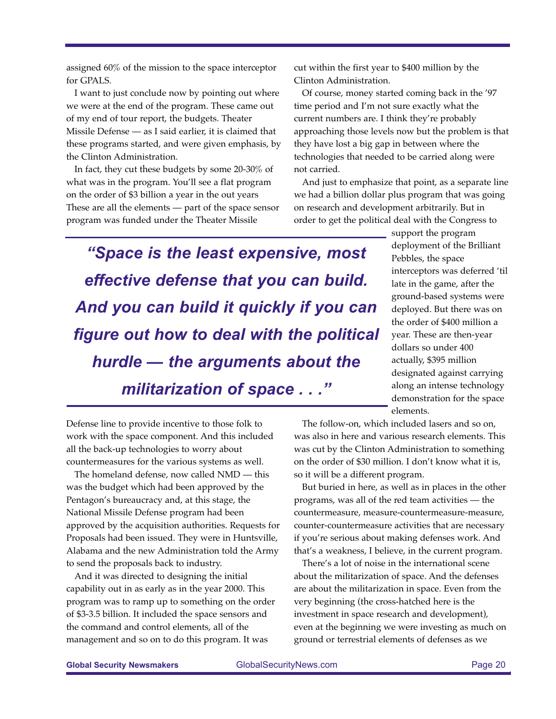**Global Security Newsmakers** GlobalSecurityNews.com Page 20

I want to just conclude now by pointing out where we were at the end of the program. These came out

assigned 60% of the mission to the space interceptor

for GPALS.

of my end of tour report, the budgets. Theater Missile Defense — as I said earlier, it is claimed that these programs started, and were given emphasis, by the Clinton Administration.

In fact, they cut these budgets by some 20-30% of what was in the program. You'll see a flat program on the order of \$3 billion a year in the out years These are all the elements — part of the space sensor program was funded under the Theater Missile

cut within the first year to \$400 million by the Clinton Administration.

Of course, money started coming back in the '97 time period and I'm not sure exactly what the current numbers are. I think they're probably approaching those levels now but the problem is that they have lost a big gap in between where the technologies that needed to be carried along were not carried.

And just to emphasize that point, as a separate line we had a billion dollar plus program that was going on research and development arbitrarily. But in order to get the political deal with the Congress to

*"Space is the least expensive, most effective defense that you can build. And you can build it quickly if you can figure out how to deal with the political hurdle — the arguments about the militarization of space . . ."*

support the program deployment of the Brilliant Pebbles, the space interceptors was deferred 'til late in the game, after the ground-based systems were deployed. But there was on the order of \$400 million a year. These are then-year dollars so under 400 actually, \$395 million designated against carrying along an intense technology demonstration for the space elements.

Defense line to provide incentive to those folk to work with the space component. And this included all the back-up technologies to worry about countermeasures for the various systems as well.

The homeland defense, now called NMD — this was the budget which had been approved by the Pentagon's bureaucracy and, at this stage, the National Missile Defense program had been approved by the acquisition authorities. Requests for Proposals had been issued. They were in Huntsville, Alabama and the new Administration told the Army to send the proposals back to industry.

And it was directed to designing the initial capability out in as early as in the year 2000. This program was to ramp up to something on the order of \$3-3.5 billion. It included the space sensors and the command and control elements, all of the management and so on to do this program. It was

The follow-on, which included lasers and so on, was also in here and various research elements. This was cut by the Clinton Administration to something on the order of \$30 million. I don't know what it is, so it will be a different program.

But buried in here, as well as in places in the other programs, was all of the red team activities — the countermeasure, measure-countermeasure-measure, counter-countermeasure activities that are necessary if you're serious about making defenses work. And that's a weakness, I believe, in the current program.

There's a lot of noise in the international scene about the militarization of space. And the defenses are about the militarization in space. Even from the very beginning (the cross-hatched here is the investment in space research and development), even at the beginning we were investing as much on ground or terrestrial elements of defenses as we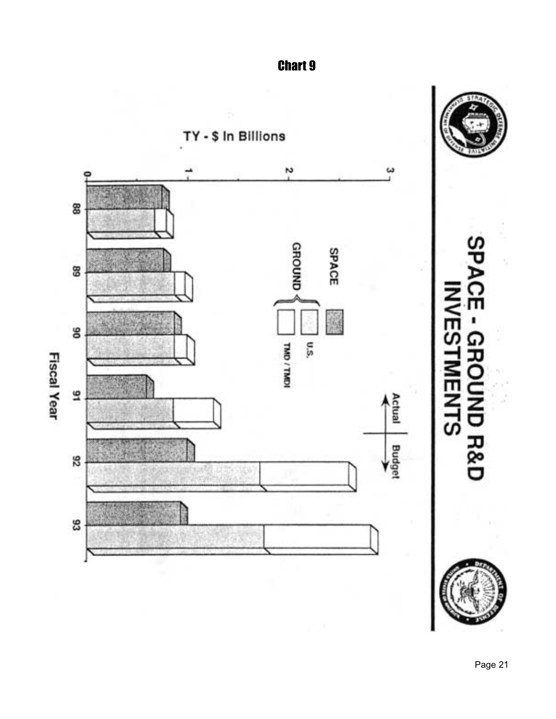

Chart 9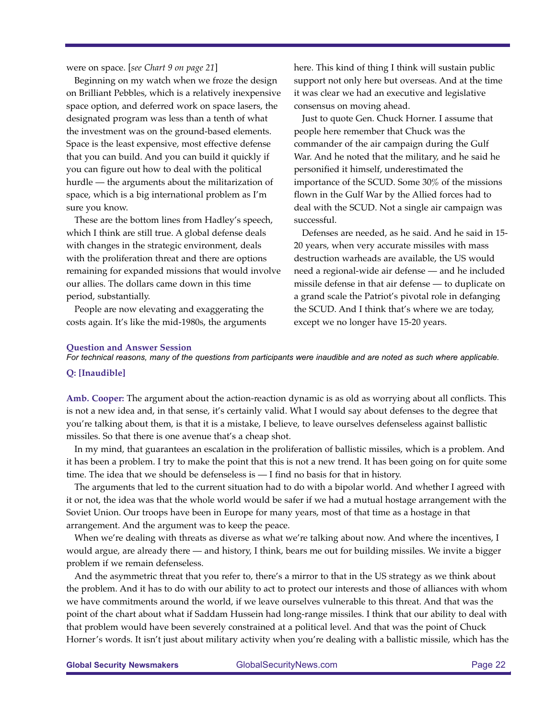were on space. [*see Chart 9 on page 21*]

Beginning on my watch when we froze the design on Brilliant Pebbles, which is a relatively inexpensive space option, and deferred work on space lasers, the designated program was less than a tenth of what the investment was on the ground-based elements. Space is the least expensive, most effective defense that you can build. And you can build it quickly if you can figure out how to deal with the political hurdle — the arguments about the militarization of space, which is a big international problem as I'm sure you know.

These are the bottom lines from Hadley's speech, which I think are still true. A global defense deals with changes in the strategic environment, deals with the proliferation threat and there are options remaining for expanded missions that would involve our allies. The dollars came down in this time period, substantially.

People are now elevating and exaggerating the costs again. It's like the mid-1980s, the arguments here. This kind of thing I think will sustain public support not only here but overseas. And at the time it was clear we had an executive and legislative consensus on moving ahead.

Just to quote Gen. Chuck Horner. I assume that people here remember that Chuck was the commander of the air campaign during the Gulf War. And he noted that the military, and he said he personified it himself, underestimated the importance of the SCUD. Some 30% of the missions flown in the Gulf War by the Allied forces had to deal with the SCUD. Not a single air campaign was successful.

Defenses are needed, as he said. And he said in 15- 20 years, when very accurate missiles with mass destruction warheads are available, the US would need a regional-wide air defense — and he included missile defense in that air defense — to duplicate on a grand scale the Patriot's pivotal role in defanging the SCUD. And I think that's where we are today, except we no longer have 15-20 years.

#### **Question and Answer Session**

*For technical reasons, many of the questions from participants were inaudible and are noted as such where applicable.*

#### **Q: [Inaudible]**

**Amb. Cooper:** The argument about the action-reaction dynamic is as old as worrying about all conflicts. This is not a new idea and, in that sense, it's certainly valid. What I would say about defenses to the degree that you're talking about them, is that it is a mistake, I believe, to leave ourselves defenseless against ballistic missiles. So that there is one avenue that's a cheap shot.

In my mind, that guarantees an escalation in the proliferation of ballistic missiles, which is a problem. And it has been a problem. I try to make the point that this is not a new trend. It has been going on for quite some time. The idea that we should be defenseless is — I find no basis for that in history.

The arguments that led to the current situation had to do with a bipolar world. And whether I agreed with it or not, the idea was that the whole world would be safer if we had a mutual hostage arrangement with the Soviet Union. Our troops have been in Europe for many years, most of that time as a hostage in that arrangement. And the argument was to keep the peace.

When we're dealing with threats as diverse as what we're talking about now. And where the incentives, I would argue, are already there — and history, I think, bears me out for building missiles. We invite a bigger problem if we remain defenseless.

And the asymmetric threat that you refer to, there's a mirror to that in the US strategy as we think about the problem. And it has to do with our ability to act to protect our interests and those of alliances with whom we have commitments around the world, if we leave ourselves vulnerable to this threat. And that was the point of the chart about what if Saddam Hussein had long-range missiles. I think that our ability to deal with that problem would have been severely constrained at a political level. And that was the point of Chuck Horner's words. It isn't just about military activity when you're dealing with a ballistic missile, which has the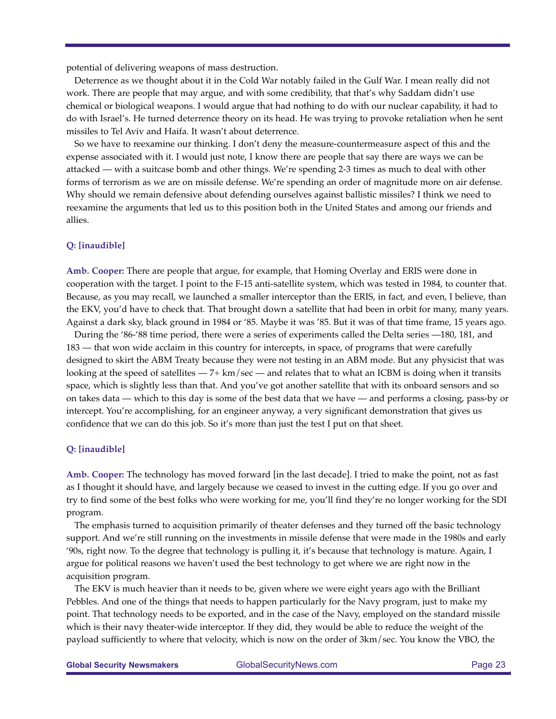potential of delivering weapons of mass destruction.

Deterrence as we thought about it in the Cold War notably failed in the Gulf War. I mean really did not work. There are people that may argue, and with some credibility, that that's why Saddam didn't use chemical or biological weapons. I would argue that had nothing to do with our nuclear capability, it had to do with Israel's. He turned deterrence theory on its head. He was trying to provoke retaliation when he sent missiles to Tel Aviv and Haifa. It wasn't about deterrence.

So we have to reexamine our thinking. I don't deny the measure-countermeasure aspect of this and the expense associated with it. I would just note, I know there are people that say there are ways we can be attacked — with a suitcase bomb and other things. We're spending 2-3 times as much to deal with other forms of terrorism as we are on missile defense. We're spending an order of magnitude more on air defense. Why should we remain defensive about defending ourselves against ballistic missiles? I think we need to reexamine the arguments that led us to this position both in the United States and among our friends and allies.

#### **Q: [inaudible]**

**Amb. Cooper:** There are people that argue, for example, that Homing Overlay and ERIS were done in cooperation with the target. I point to the F-15 anti-satellite system, which was tested in 1984, to counter that. Because, as you may recall, we launched a smaller interceptor than the ERIS, in fact, and even, I believe, than the EKV, you'd have to check that. That brought down a satellite that had been in orbit for many, many years. Against a dark sky, black ground in 1984 or '85. Maybe it was '85. But it was of that time frame, 15 years ago.

During the '86-'88 time period, there were a series of experiments called the Delta series —180, 181, and 183 — that won wide acclaim in this country for intercepts, in space, of programs that were carefully designed to skirt the ABM Treaty because they were not testing in an ABM mode. But any physicist that was looking at the speed of satellites — 7+ km/sec — and relates that to what an ICBM is doing when it transits space, which is slightly less than that. And you've got another satellite that with its onboard sensors and so on takes data — which to this day is some of the best data that we have — and performs a closing, pass-by or intercept. You're accomplishing, for an engineer anyway, a very significant demonstration that gives us confidence that we can do this job. So it's more than just the test I put on that sheet.

#### **Q: [inaudible]**

**Amb. Cooper:** The technology has moved forward [in the last decade]. I tried to make the point, not as fast as I thought it should have, and largely because we ceased to invest in the cutting edge. If you go over and try to find some of the best folks who were working for me, you'll find they're no longer working for the SDI program.

The emphasis turned to acquisition primarily of theater defenses and they turned off the basic technology support. And we're still running on the investments in missile defense that were made in the 1980s and early '90s, right now. To the degree that technology is pulling it, it's because that technology is mature. Again, I argue for political reasons we haven't used the best technology to get where we are right now in the acquisition program.

The EKV is much heavier than it needs to be, given where we were eight years ago with the Brilliant Pebbles. And one of the things that needs to happen particularly for the Navy program, just to make my point. That technology needs to be exported, and in the case of the Navy, employed on the standard missile which is their navy theater-wide interceptor. If they did, they would be able to reduce the weight of the payload sufficiently to where that velocity, which is now on the order of 3km/sec. You know the VBO, the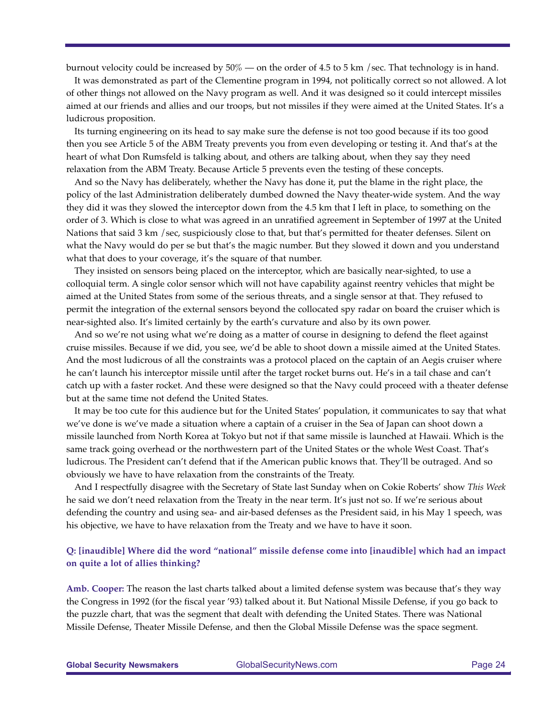burnout velocity could be increased by  $50\%$  — on the order of 4.5 to 5 km /sec. That technology is in hand.

It was demonstrated as part of the Clementine program in 1994, not politically correct so not allowed. A lot of other things not allowed on the Navy program as well. And it was designed so it could intercept missiles aimed at our friends and allies and our troops, but not missiles if they were aimed at the United States. It's a ludicrous proposition.

Its turning engineering on its head to say make sure the defense is not too good because if its too good then you see Article 5 of the ABM Treaty prevents you from even developing or testing it. And that's at the heart of what Don Rumsfeld is talking about, and others are talking about, when they say they need relaxation from the ABM Treaty. Because Article 5 prevents even the testing of these concepts.

And so the Navy has deliberately, whether the Navy has done it, put the blame in the right place, the policy of the last Administration deliberately dumbed downed the Navy theater-wide system. And the way they did it was they slowed the interceptor down from the 4.5 km that I left in place, to something on the order of 3. Which is close to what was agreed in an unratified agreement in September of 1997 at the United Nations that said 3 km / sec, suspiciously close to that, but that's permitted for theater defenses. Silent on what the Navy would do per se but that's the magic number. But they slowed it down and you understand what that does to your coverage, it's the square of that number.

They insisted on sensors being placed on the interceptor, which are basically near-sighted, to use a colloquial term. A single color sensor which will not have capability against reentry vehicles that might be aimed at the United States from some of the serious threats, and a single sensor at that. They refused to permit the integration of the external sensors beyond the collocated spy radar on board the cruiser which is near-sighted also. It's limited certainly by the earth's curvature and also by its own power.

And so we're not using what we're doing as a matter of course in designing to defend the fleet against cruise missiles. Because if we did, you see, we'd be able to shoot down a missile aimed at the United States. And the most ludicrous of all the constraints was a protocol placed on the captain of an Aegis cruiser where he can't launch his interceptor missile until after the target rocket burns out. He's in a tail chase and can't catch up with a faster rocket. And these were designed so that the Navy could proceed with a theater defense but at the same time not defend the United States.

It may be too cute for this audience but for the United States' population, it communicates to say that what we've done is we've made a situation where a captain of a cruiser in the Sea of Japan can shoot down a missile launched from North Korea at Tokyo but not if that same missile is launched at Hawaii. Which is the same track going overhead or the northwestern part of the United States or the whole West Coast. That's ludicrous. The President can't defend that if the American public knows that. They'll be outraged. And so obviously we have to have relaxation from the constraints of the Treaty.

And I respectfully disagree with the Secretary of State last Sunday when on Cokie Roberts' show *This Week* he said we don't need relaxation from the Treaty in the near term. It's just not so. If we're serious about defending the country and using sea- and air-based defenses as the President said, in his May 1 speech, was his objective, we have to have relaxation from the Treaty and we have to have it soon.

### **Q: [inaudible] Where did the word "national" missile defense come into [inaudible] which had an impact on quite a lot of allies thinking?**

**Amb. Cooper:** The reason the last charts talked about a limited defense system was because that's they way the Congress in 1992 (for the fiscal year '93) talked about it. But National Missile Defense, if you go back to the puzzle chart, that was the segment that dealt with defending the United States. There was National Missile Defense, Theater Missile Defense, and then the Global Missile Defense was the space segment.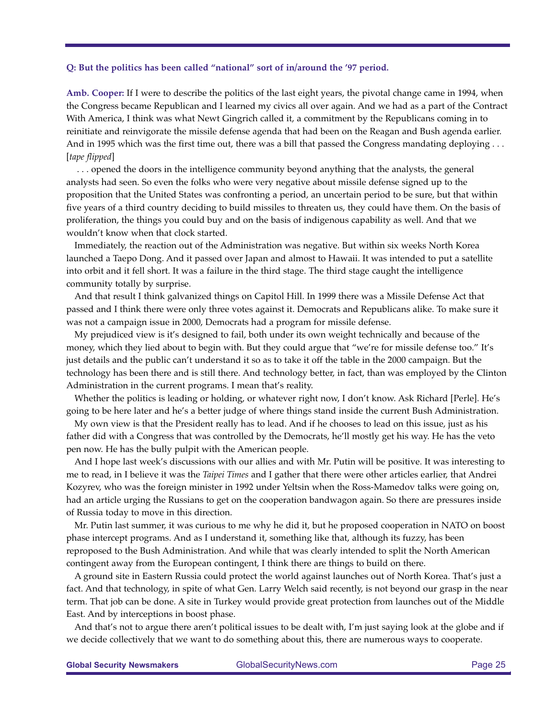#### **Q: But the politics has been called "national" sort of in/around the '97 period.**

**Amb. Cooper:** If I were to describe the politics of the last eight years, the pivotal change came in 1994, when the Congress became Republican and I learned my civics all over again. And we had as a part of the Contract With America, I think was what Newt Gingrich called it, a commitment by the Republicans coming in to reinitiate and reinvigorate the missile defense agenda that had been on the Reagan and Bush agenda earlier. And in 1995 which was the first time out, there was a bill that passed the Congress mandating deploying . . . [*tape flipped*]

. . . opened the doors in the intelligence community beyond anything that the analysts, the general analysts had seen. So even the folks who were very negative about missile defense signed up to the proposition that the United States was confronting a period, an uncertain period to be sure, but that within five years of a third country deciding to build missiles to threaten us, they could have them. On the basis of proliferation, the things you could buy and on the basis of indigenous capability as well. And that we wouldn't know when that clock started.

Immediately, the reaction out of the Administration was negative. But within six weeks North Korea launched a Taepo Dong. And it passed over Japan and almost to Hawaii. It was intended to put a satellite into orbit and it fell short. It was a failure in the third stage. The third stage caught the intelligence community totally by surprise.

And that result I think galvanized things on Capitol Hill. In 1999 there was a Missile Defense Act that passed and I think there were only three votes against it. Democrats and Republicans alike. To make sure it was not a campaign issue in 2000, Democrats had a program for missile defense.

My prejudiced view is it's designed to fail, both under its own weight technically and because of the money, which they lied about to begin with. But they could argue that "we're for missile defense too." It's just details and the public can't understand it so as to take it off the table in the 2000 campaign. But the technology has been there and is still there. And technology better, in fact, than was employed by the Clinton Administration in the current programs. I mean that's reality.

Whether the politics is leading or holding, or whatever right now, I don't know. Ask Richard [Perle]. He's going to be here later and he's a better judge of where things stand inside the current Bush Administration.

My own view is that the President really has to lead. And if he chooses to lead on this issue, just as his father did with a Congress that was controlled by the Democrats, he'll mostly get his way. He has the veto pen now. He has the bully pulpit with the American people.

And I hope last week's discussions with our allies and with Mr. Putin will be positive. It was interesting to me to read, in I believe it was the *Taipei Times* and I gather that there were other articles earlier, that Andrei Kozyrev, who was the foreign minister in 1992 under Yeltsin when the Ross-Mamedov talks were going on, had an article urging the Russians to get on the cooperation bandwagon again. So there are pressures inside of Russia today to move in this direction.

Mr. Putin last summer, it was curious to me why he did it, but he proposed cooperation in NATO on boost phase intercept programs. And as I understand it, something like that, although its fuzzy, has been reproposed to the Bush Administration. And while that was clearly intended to split the North American contingent away from the European contingent, I think there are things to build on there.

A ground site in Eastern Russia could protect the world against launches out of North Korea. That's just a fact. And that technology, in spite of what Gen. Larry Welch said recently, is not beyond our grasp in the near term. That job can be done. A site in Turkey would provide great protection from launches out of the Middle East. And by interceptions in boost phase.

And that's not to argue there aren't political issues to be dealt with, I'm just saying look at the globe and if we decide collectively that we want to do something about this, there are numerous ways to cooperate.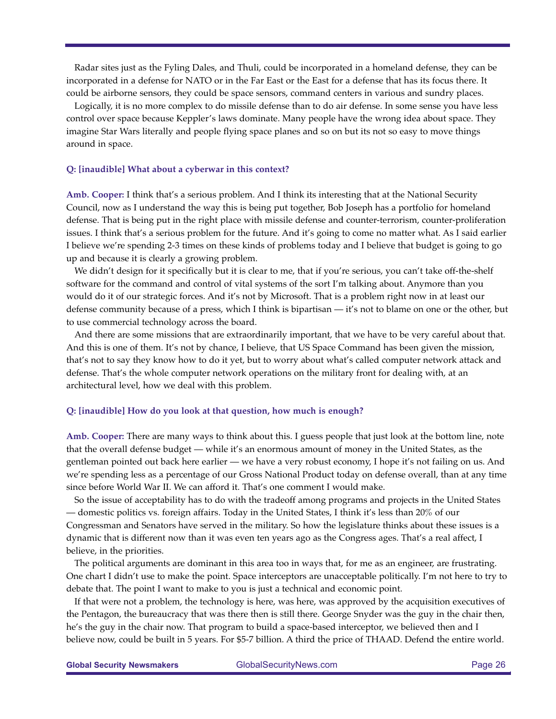Radar sites just as the Fyling Dales, and Thuli, could be incorporated in a homeland defense, they can be incorporated in a defense for NATO or in the Far East or the East for a defense that has its focus there. It could be airborne sensors, they could be space sensors, command centers in various and sundry places.

Logically, it is no more complex to do missile defense than to do air defense. In some sense you have less control over space because Keppler's laws dominate. Many people have the wrong idea about space. They imagine Star Wars literally and people flying space planes and so on but its not so easy to move things around in space.

#### **Q: [inaudible] What about a cyberwar in this context?**

**Amb. Cooper:** I think that's a serious problem. And I think its interesting that at the National Security Council, now as I understand the way this is being put together, Bob Joseph has a portfolio for homeland defense. That is being put in the right place with missile defense and counter-terrorism, counter-proliferation issues. I think that's a serious problem for the future. And it's going to come no matter what. As I said earlier I believe we're spending 2-3 times on these kinds of problems today and I believe that budget is going to go up and because it is clearly a growing problem.

We didn't design for it specifically but it is clear to me, that if you're serious, you can't take off-the-shelf software for the command and control of vital systems of the sort I'm talking about. Anymore than you would do it of our strategic forces. And it's not by Microsoft. That is a problem right now in at least our defense community because of a press, which I think is bipartisan — it's not to blame on one or the other, but to use commercial technology across the board.

And there are some missions that are extraordinarily important, that we have to be very careful about that. And this is one of them. It's not by chance, I believe, that US Space Command has been given the mission, that's not to say they know how to do it yet, but to worry about what's called computer network attack and defense. That's the whole computer network operations on the military front for dealing with, at an architectural level, how we deal with this problem.

#### **Q: [inaudible] How do you look at that question, how much is enough?**

**Amb. Cooper:** There are many ways to think about this. I guess people that just look at the bottom line, note that the overall defense budget — while it's an enormous amount of money in the United States, as the gentleman pointed out back here earlier — we have a very robust economy, I hope it's not failing on us. And we're spending less as a percentage of our Gross National Product today on defense overall, than at any time since before World War II. We can afford it. That's one comment I would make.

So the issue of acceptability has to do with the tradeoff among programs and projects in the United States — domestic politics vs. foreign affairs. Today in the United States, I think it's less than 20% of our Congressman and Senators have served in the military. So how the legislature thinks about these issues is a dynamic that is different now than it was even ten years ago as the Congress ages. That's a real affect, I believe, in the priorities.

The political arguments are dominant in this area too in ways that, for me as an engineer, are frustrating. One chart I didn't use to make the point. Space interceptors are unacceptable politically. I'm not here to try to debate that. The point I want to make to you is just a technical and economic point.

If that were not a problem, the technology is here, was here, was approved by the acquisition executives of the Pentagon, the bureaucracy that was there then is still there. George Snyder was the guy in the chair then, he's the guy in the chair now. That program to build a space-based interceptor, we believed then and I believe now, could be built in 5 years. For \$5-7 billion. A third the price of THAAD. Defend the entire world.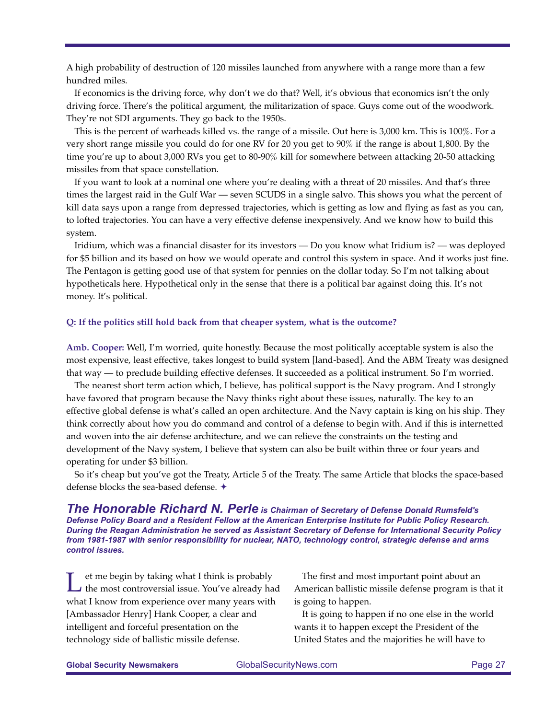A high probability of destruction of 120 missiles launched from anywhere with a range more than a few hundred miles.

If economics is the driving force, why don't we do that? Well, it's obvious that economics isn't the only driving force. There's the political argument, the militarization of space. Guys come out of the woodwork. They're not SDI arguments. They go back to the 1950s.

This is the percent of warheads killed vs. the range of a missile. Out here is 3,000 km. This is 100%. For a very short range missile you could do for one RV for 20 you get to 90% if the range is about 1,800. By the time you're up to about 3,000 RVs you get to 80-90% kill for somewhere between attacking 20-50 attacking missiles from that space constellation.

If you want to look at a nominal one where you're dealing with a threat of 20 missiles. And that's three times the largest raid in the Gulf War — seven SCUDS in a single salvo. This shows you what the percent of kill data says upon a range from depressed trajectories, which is getting as low and flying as fast as you can, to lofted trajectories. You can have a very effective defense inexpensively. And we know how to build this system.

Iridium, which was a financial disaster for its investors — Do you know what Iridium is? — was deployed for \$5 billion and its based on how we would operate and control this system in space. And it works just fine. The Pentagon is getting good use of that system for pennies on the dollar today. So I'm not talking about hypotheticals here. Hypothetical only in the sense that there is a political bar against doing this. It's not money. It's political.

#### **Q: If the politics still hold back from that cheaper system, what is the outcome?**

**Amb. Cooper:** Well, I'm worried, quite honestly. Because the most politically acceptable system is also the most expensive, least effective, takes longest to build system [land-based]. And the ABM Treaty was designed that way — to preclude building effective defenses. It succeeded as a political instrument. So I'm worried.

The nearest short term action which, I believe, has political support is the Navy program. And I strongly have favored that program because the Navy thinks right about these issues, naturally. The key to an effective global defense is what's called an open architecture. And the Navy captain is king on his ship. They think correctly about how you do command and control of a defense to begin with. And if this is internetted and woven into the air defense architecture, and we can relieve the constraints on the testing and development of the Navy system, I believe that system can also be built within three or four years and operating for under \$3 billion.

So it's cheap but you've got the Treaty, Article 5 of the Treaty. The same Article that blocks the space-based defense blocks the sea-based defense.  $\triangle$ 

*The Honorable Richard N. Perle is Chairman of Secretary of Defense Donald Rumsfeld's Defense Policy Board and a Resident Fellow at the American Enterprise Institute for Public Policy Research. During the Reagan Administration he served as Assistant Secretary of Defense for International Security Policy from 1981-1987 with senior responsibility for nuclear, NATO, technology control, strategic defense and arms control issues.*

Let me begin by taking what I think is probably<br>the most controversial issue. You've already had what I know from experience over many years with [Ambassador Henry] Hank Cooper, a clear and intelligent and forceful presentation on the technology side of ballistic missile defense.

The first and most important point about an American ballistic missile defense program is that it is going to happen.

It is going to happen if no one else in the world wants it to happen except the President of the United States and the majorities he will have to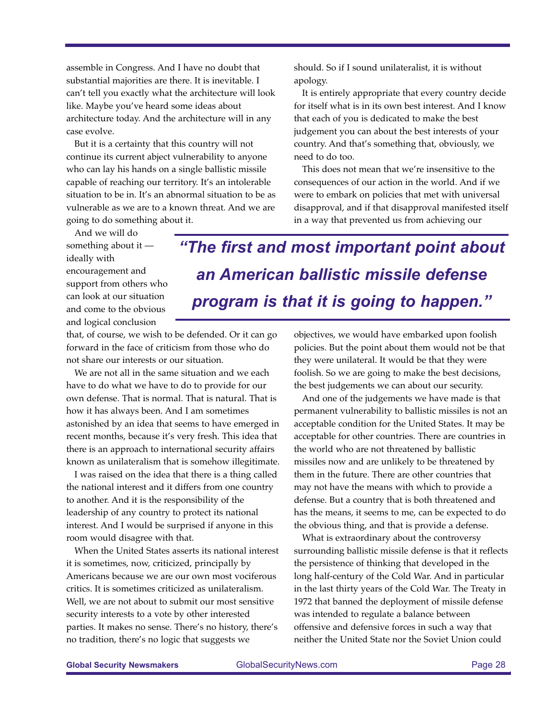assemble in Congress. And I have no doubt that substantial majorities are there. It is inevitable. I can't tell you exactly what the architecture will look like. Maybe you've heard some ideas about architecture today. And the architecture will in any case evolve.

But it is a certainty that this country will not continue its current abject vulnerability to anyone who can lay his hands on a single ballistic missile capable of reaching our territory. It's an intolerable situation to be in. It's an abnormal situation to be as vulnerable as we are to a known threat. And we are going to do something about it.

should. So if I sound unilateralist, it is without apology.

It is entirely appropriate that every country decide for itself what is in its own best interest. And I know that each of you is dedicated to make the best judgement you can about the best interests of your country. And that's something that, obviously, we need to do too.

This does not mean that we're insensitive to the consequences of our action in the world. And if we were to embark on policies that met with universal disapproval, and if that disapproval manifested itself in a way that prevented us from achieving our

And we will do something about it ideally with encouragement and support from others who can look at our situation and come to the obvious and logical conclusion

*"The first and most important point about an American ballistic missile defense program is that it is going to happen."*

that, of course, we wish to be defended. Or it can go forward in the face of criticism from those who do not share our interests or our situation.

We are not all in the same situation and we each have to do what we have to do to provide for our own defense. That is normal. That is natural. That is how it has always been. And I am sometimes astonished by an idea that seems to have emerged in recent months, because it's very fresh. This idea that there is an approach to international security affairs known as unilateralism that is somehow illegitimate.

I was raised on the idea that there is a thing called the national interest and it differs from one country to another. And it is the responsibility of the leadership of any country to protect its national interest. And I would be surprised if anyone in this room would disagree with that.

When the United States asserts its national interest it is sometimes, now, criticized, principally by Americans because we are our own most vociferous critics. It is sometimes criticized as unilateralism. Well, we are not about to submit our most sensitive security interests to a vote by other interested parties. It makes no sense. There's no history, there's no tradition, there's no logic that suggests we

objectives, we would have embarked upon foolish policies. But the point about them would not be that they were unilateral. It would be that they were foolish. So we are going to make the best decisions, the best judgements we can about our security.

And one of the judgements we have made is that permanent vulnerability to ballistic missiles is not an acceptable condition for the United States. It may be acceptable for other countries. There are countries in the world who are not threatened by ballistic missiles now and are unlikely to be threatened by them in the future. There are other countries that may not have the means with which to provide a defense. But a country that is both threatened and has the means, it seems to me, can be expected to do the obvious thing, and that is provide a defense.

What is extraordinary about the controversy surrounding ballistic missile defense is that it reflects the persistence of thinking that developed in the long half-century of the Cold War. And in particular in the last thirty years of the Cold War. The Treaty in 1972 that banned the deployment of missile defense was intended to regulate a balance between offensive and defensive forces in such a way that neither the United State nor the Soviet Union could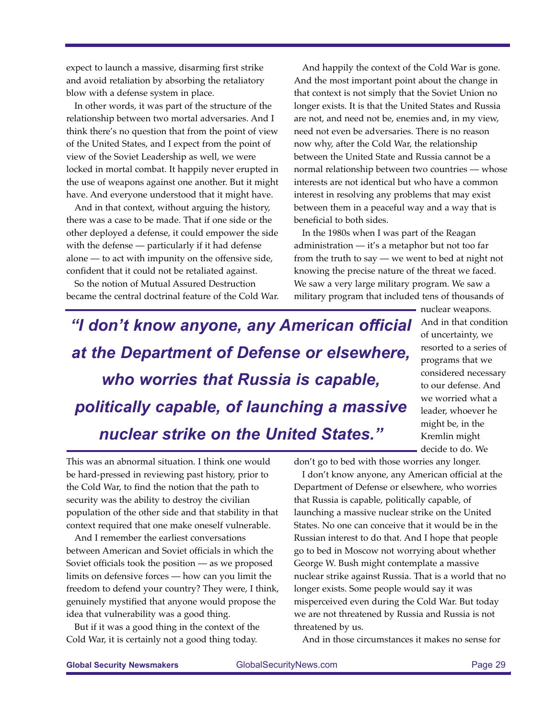expect to launch a massive, disarming first strike and avoid retaliation by absorbing the retaliatory blow with a defense system in place.

In other words, it was part of the structure of the relationship between two mortal adversaries. And I think there's no question that from the point of view of the United States, and I expect from the point of view of the Soviet Leadership as well, we were locked in mortal combat. It happily never erupted in the use of weapons against one another. But it might have. And everyone understood that it might have.

And in that context, without arguing the history, there was a case to be made. That if one side or the other deployed a defense, it could empower the side with the defense — particularly if it had defense alone — to act with impunity on the offensive side, confident that it could not be retaliated against.

So the notion of Mutual Assured Destruction became the central doctrinal feature of the Cold War.

And happily the context of the Cold War is gone. And the most important point about the change in that context is not simply that the Soviet Union no longer exists. It is that the United States and Russia are not, and need not be, enemies and, in my view, need not even be adversaries. There is no reason now why, after the Cold War, the relationship between the United State and Russia cannot be a normal relationship between two countries — whose interests are not identical but who have a common interest in resolving any problems that may exist between them in a peaceful way and a way that is beneficial to both sides.

In the 1980s when I was part of the Reagan administration — it's a metaphor but not too far from the truth to say — we went to bed at night not knowing the precise nature of the threat we faced. We saw a very large military program. We saw a military program that included tens of thousands of

*"I don't know anyone, any American official at the Department of Defense or elsewhere, who worries that Russia is capable, politically capable, of launching a massive nuclear strike on the United States."*

nuclear weapons. And in that condition of uncertainty, we resorted to a series of programs that we considered necessary to our defense. And we worried what a leader, whoever he might be, in the Kremlin might decide to do. We

This was an abnormal situation. I think one would be hard-pressed in reviewing past history, prior to the Cold War, to find the notion that the path to security was the ability to destroy the civilian population of the other side and that stability in that context required that one make oneself vulnerable.

And I remember the earliest conversations between American and Soviet officials in which the Soviet officials took the position — as we proposed limits on defensive forces — how can you limit the freedom to defend your country? They were, I think, genuinely mystified that anyone would propose the idea that vulnerability was a good thing.

But if it was a good thing in the context of the Cold War, it is certainly not a good thing today.

don't go to bed with those worries any longer.

I don't know anyone, any American official at the Department of Defense or elsewhere, who worries that Russia is capable, politically capable, of launching a massive nuclear strike on the United States. No one can conceive that it would be in the Russian interest to do that. And I hope that people go to bed in Moscow not worrying about whether George W. Bush might contemplate a massive nuclear strike against Russia. That is a world that no longer exists. Some people would say it was misperceived even during the Cold War. But today we are not threatened by Russia and Russia is not threatened by us.

And in those circumstances it makes no sense for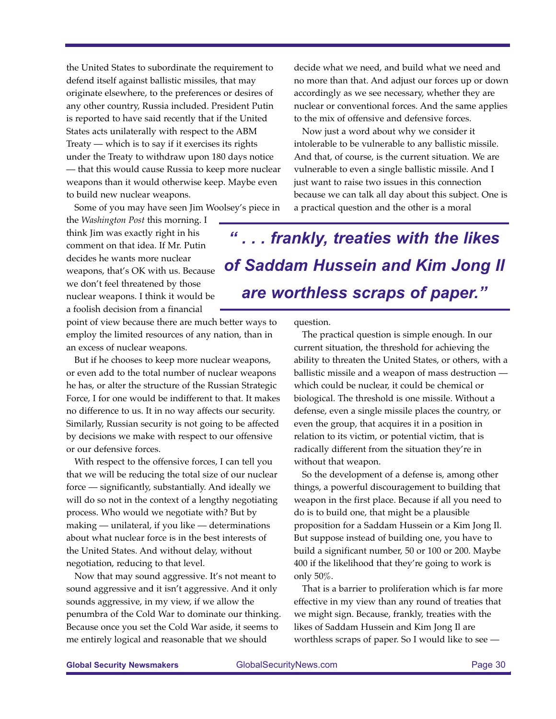the United States to subordinate the requirement to defend itself against ballistic missiles, that may originate elsewhere, to the preferences or desires of any other country, Russia included. President Putin is reported to have said recently that if the United States acts unilaterally with respect to the ABM Treaty — which is to say if it exercises its rights under the Treaty to withdraw upon 180 days notice — that this would cause Russia to keep more nuclear weapons than it would otherwise keep. Maybe even to build new nuclear weapons.

Some of you may have seen Jim Woolsey's piece in

decide what we need, and build what we need and no more than that. And adjust our forces up or down accordingly as we see necessary, whether they are nuclear or conventional forces. And the same applies to the mix of offensive and defensive forces.

Now just a word about why we consider it intolerable to be vulnerable to any ballistic missile. And that, of course, is the current situation. We are vulnerable to even a single ballistic missile. And I just want to raise two issues in this connection because we can talk all day about this subject. One is a practical question and the other is a moral

the *Washington Post* this morning. I think Jim was exactly right in his comment on that idea. If Mr. Putin decides he wants more nuclear weapons, that's OK with us. Because we don't feel threatened by those nuclear weapons. I think it would be a foolish decision from a financial

point of view because there are much better ways to employ the limited resources of any nation, than in an excess of nuclear weapons.

But if he chooses to keep more nuclear weapons, or even add to the total number of nuclear weapons he has, or alter the structure of the Russian Strategic Force, I for one would be indifferent to that. It makes no difference to us. It in no way affects our security. Similarly, Russian security is not going to be affected by decisions we make with respect to our offensive or our defensive forces.

With respect to the offensive forces, I can tell you that we will be reducing the total size of our nuclear force — significantly, substantially. And ideally we will do so not in the context of a lengthy negotiating process. Who would we negotiate with? But by making — unilateral, if you like — determinations about what nuclear force is in the best interests of the United States. And without delay, without negotiation, reducing to that level.

Now that may sound aggressive. It's not meant to sound aggressive and it isn't aggressive. And it only sounds aggressive, in my view, if we allow the penumbra of the Cold War to dominate our thinking. Because once you set the Cold War aside, it seems to me entirely logical and reasonable that we should

*" . . . frankly, treaties with the likes of Saddam Hussein and Kim Jong Il are worthless scraps of paper."*

question.

The practical question is simple enough. In our current situation, the threshold for achieving the ability to threaten the United States, or others, with a ballistic missile and a weapon of mass destruction which could be nuclear, it could be chemical or biological. The threshold is one missile. Without a defense, even a single missile places the country, or even the group, that acquires it in a position in relation to its victim, or potential victim, that is radically different from the situation they're in without that weapon.

So the development of a defense is, among other things, a powerful discouragement to building that weapon in the first place. Because if all you need to do is to build one, that might be a plausible proposition for a Saddam Hussein or a Kim Jong Il. But suppose instead of building one, you have to build a significant number, 50 or 100 or 200. Maybe 400 if the likelihood that they're going to work is only 50%.

That is a barrier to proliferation which is far more effective in my view than any round of treaties that we might sign. Because, frankly, treaties with the likes of Saddam Hussein and Kim Jong Il are worthless scraps of paper. So I would like to see —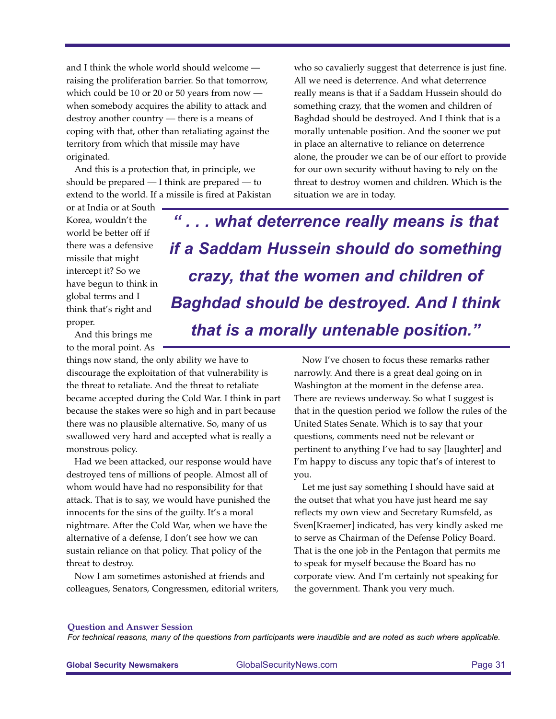and I think the whole world should welcome raising the proliferation barrier. So that tomorrow, which could be 10 or 20 or 50 years from now when somebody acquires the ability to attack and destroy another country — there is a means of coping with that, other than retaliating against the territory from which that missile may have originated.

And this is a protection that, in principle, we should be prepared — I think are prepared — to extend to the world. If a missile is fired at Pakistan who so cavalierly suggest that deterrence is just fine. All we need is deterrence. And what deterrence really means is that if a Saddam Hussein should do something crazy, that the women and children of Baghdad should be destroyed. And I think that is a morally untenable position. And the sooner we put in place an alternative to reliance on deterrence alone, the prouder we can be of our effort to provide for our own security without having to rely on the threat to destroy women and children. Which is the situation we are in today.

or at India or at South Korea, wouldn't the world be better off if there was a defensive missile that might intercept it? So we have begun to think in global terms and I think that's right and proper.

And this brings me to the moral point. As

things now stand, the only ability we have to discourage the exploitation of that vulnerability is the threat to retaliate. And the threat to retaliate became accepted during the Cold War. I think in part because the stakes were so high and in part because there was no plausible alternative. So, many of us swallowed very hard and accepted what is really a monstrous policy.

Had we been attacked, our response would have destroyed tens of millions of people. Almost all of whom would have had no responsibility for that attack. That is to say, we would have punished the innocents for the sins of the guilty. It's a moral nightmare. After the Cold War, when we have the alternative of a defense, I don't see how we can sustain reliance on that policy. That policy of the threat to destroy.

Now I am sometimes astonished at friends and colleagues, Senators, Congressmen, editorial writers,

*" . . . what deterrence really means is that if a Saddam Hussein should do something crazy, that the women and children of Baghdad should be destroyed. And I think that is a morally untenable position."*

> Now I've chosen to focus these remarks rather narrowly. And there is a great deal going on in Washington at the moment in the defense area. There are reviews underway. So what I suggest is that in the question period we follow the rules of the United States Senate. Which is to say that your questions, comments need not be relevant or pertinent to anything I've had to say [laughter] and I'm happy to discuss any topic that's of interest to you.

Let me just say something I should have said at the outset that what you have just heard me say reflects my own view and Secretary Rumsfeld, as Sven[Kraemer] indicated, has very kindly asked me to serve as Chairman of the Defense Policy Board. That is the one job in the Pentagon that permits me to speak for myself because the Board has no corporate view. And I'm certainly not speaking for the government. Thank you very much.

#### **Question and Answer Session**

*For technical reasons, many of the questions from participants were inaudible and are noted as such where applicable.*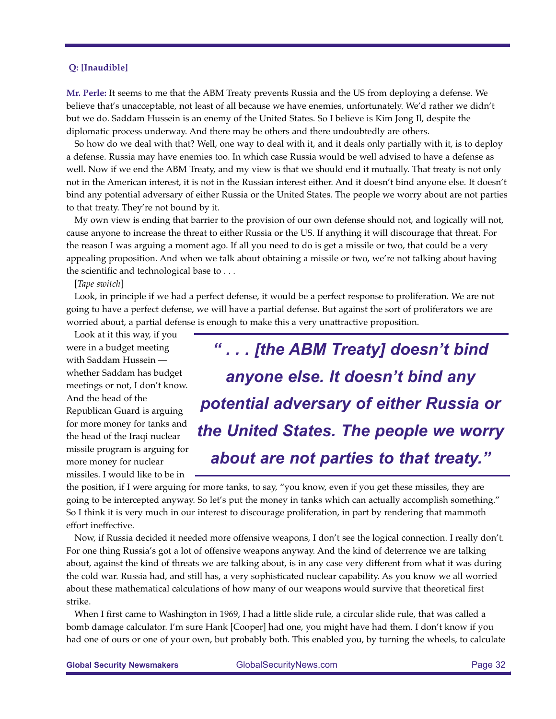#### **Q: [Inaudible]**

**Mr. Perle:** It seems to me that the ABM Treaty prevents Russia and the US from deploying a defense. We believe that's unacceptable, not least of all because we have enemies, unfortunately. We'd rather we didn't but we do. Saddam Hussein is an enemy of the United States. So I believe is Kim Jong Il, despite the diplomatic process underway. And there may be others and there undoubtedly are others.

So how do we deal with that? Well, one way to deal with it, and it deals only partially with it, is to deploy a defense. Russia may have enemies too. In which case Russia would be well advised to have a defense as well. Now if we end the ABM Treaty, and my view is that we should end it mutually. That treaty is not only not in the American interest, it is not in the Russian interest either. And it doesn't bind anyone else. It doesn't bind any potential adversary of either Russia or the United States. The people we worry about are not parties to that treaty. They're not bound by it.

My own view is ending that barrier to the provision of our own defense should not, and logically will not, cause anyone to increase the threat to either Russia or the US. If anything it will discourage that threat. For the reason I was arguing a moment ago. If all you need to do is get a missile or two, that could be a very appealing proposition. And when we talk about obtaining a missile or two, we're not talking about having the scientific and technological base to . . .

[*Tape switch*]

Look, in principle if we had a perfect defense, it would be a perfect response to proliferation. We are not going to have a perfect defense, we will have a partial defense. But against the sort of proliferators we are worried about, a partial defense is enough to make this a very unattractive proposition.

Look at it this way, if you were in a budget meeting with Saddam Hussein whether Saddam has budget meetings or not, I don't know. And the head of the Republican Guard is arguing for more money for tanks and the head of the Iraqi nuclear missile program is arguing for more money for nuclear missiles. I would like to be in

*" . . . [the ABM Treaty] doesn't bind anyone else. It doesn't bind any potential adversary of either Russia or the United States. The people we worry about are not parties to that treaty."*

the position, if I were arguing for more tanks, to say, "you know, even if you get these missiles, they are going to be intercepted anyway. So let's put the money in tanks which can actually accomplish something." So I think it is very much in our interest to discourage proliferation, in part by rendering that mammoth effort ineffective.

Now, if Russia decided it needed more offensive weapons, I don't see the logical connection. I really don't. For one thing Russia's got a lot of offensive weapons anyway. And the kind of deterrence we are talking about, against the kind of threats we are talking about, is in any case very different from what it was during the cold war. Russia had, and still has, a very sophisticated nuclear capability. As you know we all worried about these mathematical calculations of how many of our weapons would survive that theoretical first strike.

When I first came to Washington in 1969, I had a little slide rule, a circular slide rule, that was called a bomb damage calculator. I'm sure Hank [Cooper] had one, you might have had them. I don't know if you had one of ours or one of your own, but probably both. This enabled you, by turning the wheels, to calculate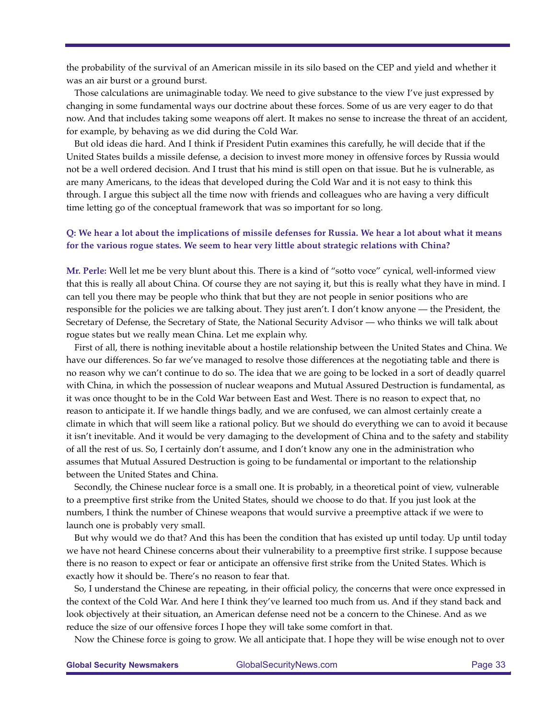the probability of the survival of an American missile in its silo based on the CEP and yield and whether it was an air burst or a ground burst.

Those calculations are unimaginable today. We need to give substance to the view I've just expressed by changing in some fundamental ways our doctrine about these forces. Some of us are very eager to do that now. And that includes taking some weapons off alert. It makes no sense to increase the threat of an accident, for example, by behaving as we did during the Cold War.

But old ideas die hard. And I think if President Putin examines this carefully, he will decide that if the United States builds a missile defense, a decision to invest more money in offensive forces by Russia would not be a well ordered decision. And I trust that his mind is still open on that issue. But he is vulnerable, as are many Americans, to the ideas that developed during the Cold War and it is not easy to think this through. I argue this subject all the time now with friends and colleagues who are having a very difficult time letting go of the conceptual framework that was so important for so long.

### **Q: We hear a lot about the implications of missile defenses for Russia. We hear a lot about what it means for the various rogue states. We seem to hear very little about strategic relations with China?**

**Mr. Perle:** Well let me be very blunt about this. There is a kind of "sotto voce" cynical, well-informed view that this is really all about China. Of course they are not saying it, but this is really what they have in mind. I can tell you there may be people who think that but they are not people in senior positions who are responsible for the policies we are talking about. They just aren't. I don't know anyone — the President, the Secretary of Defense, the Secretary of State, the National Security Advisor — who thinks we will talk about rogue states but we really mean China. Let me explain why.

First of all, there is nothing inevitable about a hostile relationship between the United States and China. We have our differences. So far we've managed to resolve those differences at the negotiating table and there is no reason why we can't continue to do so. The idea that we are going to be locked in a sort of deadly quarrel with China, in which the possession of nuclear weapons and Mutual Assured Destruction is fundamental, as it was once thought to be in the Cold War between East and West. There is no reason to expect that, no reason to anticipate it. If we handle things badly, and we are confused, we can almost certainly create a climate in which that will seem like a rational policy. But we should do everything we can to avoid it because it isn't inevitable. And it would be very damaging to the development of China and to the safety and stability of all the rest of us. So, I certainly don't assume, and I don't know any one in the administration who assumes that Mutual Assured Destruction is going to be fundamental or important to the relationship between the United States and China.

Secondly, the Chinese nuclear force is a small one. It is probably, in a theoretical point of view, vulnerable to a preemptive first strike from the United States, should we choose to do that. If you just look at the numbers, I think the number of Chinese weapons that would survive a preemptive attack if we were to launch one is probably very small.

But why would we do that? And this has been the condition that has existed up until today. Up until today we have not heard Chinese concerns about their vulnerability to a preemptive first strike. I suppose because there is no reason to expect or fear or anticipate an offensive first strike from the United States. Which is exactly how it should be. There's no reason to fear that.

So, I understand the Chinese are repeating, in their official policy, the concerns that were once expressed in the context of the Cold War. And here I think they've learned too much from us. And if they stand back and look objectively at their situation, an American defense need not be a concern to the Chinese. And as we reduce the size of our offensive forces I hope they will take some comfort in that.

Now the Chinese force is going to grow. We all anticipate that. I hope they will be wise enough not to over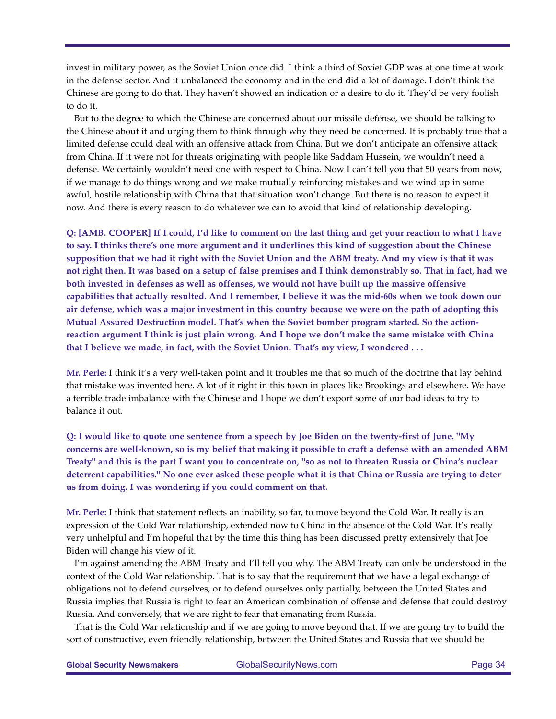invest in military power, as the Soviet Union once did. I think a third of Soviet GDP was at one time at work in the defense sector. And it unbalanced the economy and in the end did a lot of damage. I don't think the Chinese are going to do that. They haven't showed an indication or a desire to do it. They'd be very foolish to do it.

But to the degree to which the Chinese are concerned about our missile defense, we should be talking to the Chinese about it and urging them to think through why they need be concerned. It is probably true that a limited defense could deal with an offensive attack from China. But we don't anticipate an offensive attack from China. If it were not for threats originating with people like Saddam Hussein, we wouldn't need a defense. We certainly wouldn't need one with respect to China. Now I can't tell you that 50 years from now, if we manage to do things wrong and we make mutually reinforcing mistakes and we wind up in some awful, hostile relationship with China that that situation won't change. But there is no reason to expect it now. And there is every reason to do whatever we can to avoid that kind of relationship developing.

**Q: [AMB. COOPER] If I could, I'd like to comment on the last thing and get your reaction to what I have to say. I thinks there's one more argument and it underlines this kind of suggestion about the Chinese supposition that we had it right with the Soviet Union and the ABM treaty. And my view is that it was not right then. It was based on a setup of false premises and I think demonstrably so. That in fact, had we both invested in defenses as well as offenses, we would not have built up the massive offensive capabilities that actually resulted. And I remember, I believe it was the mid-60s when we took down our air defense, which was a major investment in this country because we were on the path of adopting this Mutual Assured Destruction model. That's when the Soviet bomber program started. So the actionreaction argument I think is just plain wrong. And I hope we don't make the same mistake with China that I believe we made, in fact, with the Soviet Union. That's my view, I wondered . . .**

**Mr. Perle:** I think it's a very well-taken point and it troubles me that so much of the doctrine that lay behind that mistake was invented here. A lot of it right in this town in places like Brookings and elsewhere. We have a terrible trade imbalance with the Chinese and I hope we don't export some of our bad ideas to try to balance it out.

**Q: I would like to quote one sentence from a speech by Joe Biden on the twenty-first of June. "My concerns are well-known, so is my belief that making it possible to craft a defense with an amended ABM Treaty" and this is the part I want you to concentrate on, "so as not to threaten Russia or China's nuclear deterrent capabilities." No one ever asked these people what it is that China or Russia are trying to deter us from doing. I was wondering if you could comment on that.**

**Mr. Perle:** I think that statement reflects an inability, so far, to move beyond the Cold War. It really is an expression of the Cold War relationship, extended now to China in the absence of the Cold War. It's really very unhelpful and I'm hopeful that by the time this thing has been discussed pretty extensively that Joe Biden will change his view of it.

I'm against amending the ABM Treaty and I'll tell you why. The ABM Treaty can only be understood in the context of the Cold War relationship. That is to say that the requirement that we have a legal exchange of obligations not to defend ourselves, or to defend ourselves only partially, between the United States and Russia implies that Russia is right to fear an American combination of offense and defense that could destroy Russia. And conversely, that we are right to fear that emanating from Russia.

That is the Cold War relationship and if we are going to move beyond that. If we are going try to build the sort of constructive, even friendly relationship, between the United States and Russia that we should be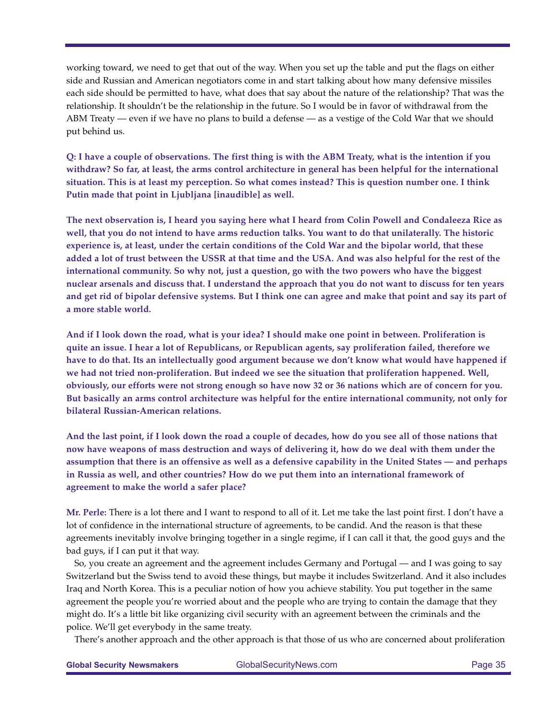working toward, we need to get that out of the way. When you set up the table and put the flags on either side and Russian and American negotiators come in and start talking about how many defensive missiles each side should be permitted to have, what does that say about the nature of the relationship? That was the relationship. It shouldn't be the relationship in the future. So I would be in favor of withdrawal from the ABM Treaty — even if we have no plans to build a defense — as a vestige of the Cold War that we should put behind us.

**Q: I have a couple of observations. The first thing is with the ABM Treaty, what is the intention if you withdraw? So far, at least, the arms control architecture in general has been helpful for the international situation. This is at least my perception. So what comes instead? This is question number one. I think Putin made that point in Ljubljana [inaudible] as well.** 

**The next observation is, I heard you saying here what I heard from Colin Powell and Condaleeza Rice as well, that you do not intend to have arms reduction talks. You want to do that unilaterally. The historic experience is, at least, under the certain conditions of the Cold War and the bipolar world, that these added a lot of trust between the USSR at that time and the USA. And was also helpful for the rest of the international community. So why not, just a question, go with the two powers who have the biggest nuclear arsenals and discuss that. I understand the approach that you do not want to discuss for ten years and get rid of bipolar defensive systems. But I think one can agree and make that point and say its part of a more stable world.** 

**And if I look down the road, what is your idea? I should make one point in between. Proliferation is quite an issue. I hear a lot of Republicans, or Republican agents, say proliferation failed, therefore we have to do that. Its an intellectually good argument because we don't know what would have happened if we had not tried non-proliferation. But indeed we see the situation that proliferation happened. Well, obviously, our efforts were not strong enough so have now 32 or 36 nations which are of concern for you. But basically an arms control architecture was helpful for the entire international community, not only for bilateral Russian-American relations.** 

**And the last point, if I look down the road a couple of decades, how do you see all of those nations that now have weapons of mass destruction and ways of delivering it, how do we deal with them under the assumption that there is an offensive as well as a defensive capability in the United States — and perhaps in Russia as well, and other countries? How do we put them into an international framework of agreement to make the world a safer place?**

**Mr. Perle:** There is a lot there and I want to respond to all of it. Let me take the last point first. I don't have a lot of confidence in the international structure of agreements, to be candid. And the reason is that these agreements inevitably involve bringing together in a single regime, if I can call it that, the good guys and the bad guys, if I can put it that way.

So, you create an agreement and the agreement includes Germany and Portugal — and I was going to say Switzerland but the Swiss tend to avoid these things, but maybe it includes Switzerland. And it also includes Iraq and North Korea. This is a peculiar notion of how you achieve stability. You put together in the same agreement the people you're worried about and the people who are trying to contain the damage that they might do. It's a little bit like organizing civil security with an agreement between the criminals and the police. We'll get everybody in the same treaty.

There's another approach and the other approach is that those of us who are concerned about proliferation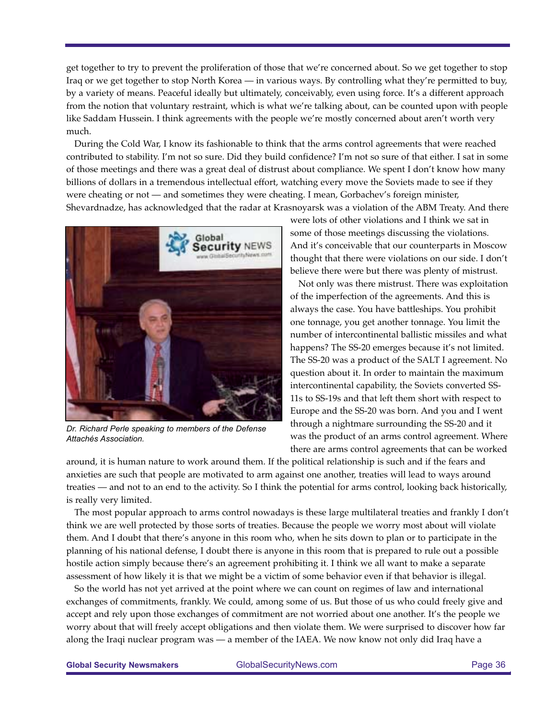get together to try to prevent the proliferation of those that we're concerned about. So we get together to stop Iraq or we get together to stop North Korea — in various ways. By controlling what they're permitted to buy, by a variety of means. Peaceful ideally but ultimately, conceivably, even using force. It's a different approach from the notion that voluntary restraint, which is what we're talking about, can be counted upon with people like Saddam Hussein. I think agreements with the people we're mostly concerned about aren't worth very much.

During the Cold War, I know its fashionable to think that the arms control agreements that were reached contributed to stability. I'm not so sure. Did they build confidence? I'm not so sure of that either. I sat in some of those meetings and there was a great deal of distrust about compliance. We spent I don't know how many billions of dollars in a tremendous intellectual effort, watching every move the Soviets made to see if they were cheating or not — and sometimes they were cheating. I mean, Gorbachev's foreign minister, Shevardnadze, has acknowledged that the radar at Krasnoyarsk was a violation of the ABM Treaty. And there



*Dr. Richard Perle speaking to members of the Defense Attachés Association.*

were lots of other violations and I think we sat in some of those meetings discussing the violations. And it's conceivable that our counterparts in Moscow thought that there were violations on our side. I don't believe there were but there was plenty of mistrust.

Not only was there mistrust. There was exploitation of the imperfection of the agreements. And this is always the case. You have battleships. You prohibit one tonnage, you get another tonnage. You limit the number of intercontinental ballistic missiles and what happens? The SS-20 emerges because it's not limited. The SS-20 was a product of the SALT I agreement. No question about it. In order to maintain the maximum intercontinental capability, the Soviets converted SS-11s to SS-19s and that left them short with respect to Europe and the SS-20 was born. And you and I went through a nightmare surrounding the SS-20 and it was the product of an arms control agreement. Where there are arms control agreements that can be worked

around, it is human nature to work around them. If the political relationship is such and if the fears and anxieties are such that people are motivated to arm against one another, treaties will lead to ways around treaties — and not to an end to the activity. So I think the potential for arms control, looking back historically, is really very limited.

The most popular approach to arms control nowadays is these large multilateral treaties and frankly I don't think we are well protected by those sorts of treaties. Because the people we worry most about will violate them. And I doubt that there's anyone in this room who, when he sits down to plan or to participate in the planning of his national defense, I doubt there is anyone in this room that is prepared to rule out a possible hostile action simply because there's an agreement prohibiting it. I think we all want to make a separate assessment of how likely it is that we might be a victim of some behavior even if that behavior is illegal.

So the world has not yet arrived at the point where we can count on regimes of law and international exchanges of commitments, frankly. We could, among some of us. But those of us who could freely give and accept and rely upon those exchanges of commitment are not worried about one another. It's the people we worry about that will freely accept obligations and then violate them. We were surprised to discover how far along the Iraqi nuclear program was — a member of the IAEA. We now know not only did Iraq have a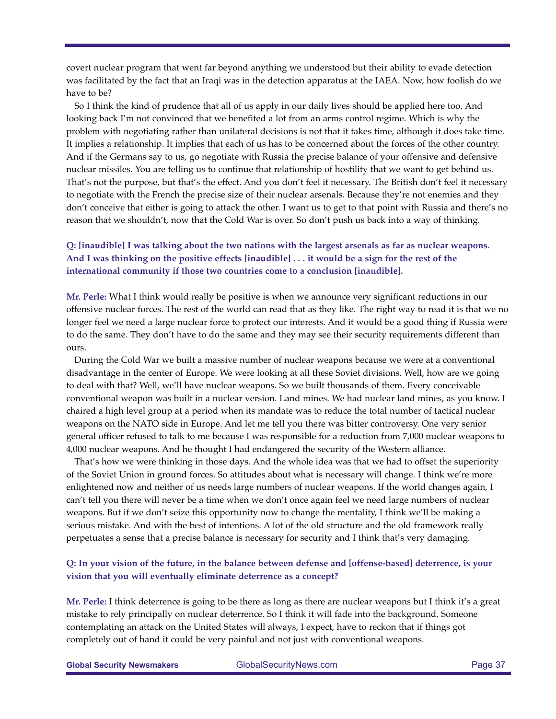covert nuclear program that went far beyond anything we understood but their ability to evade detection was facilitated by the fact that an Iraqi was in the detection apparatus at the IAEA. Now, how foolish do we have to be?

So I think the kind of prudence that all of us apply in our daily lives should be applied here too. And looking back I'm not convinced that we benefited a lot from an arms control regime. Which is why the problem with negotiating rather than unilateral decisions is not that it takes time, although it does take time. It implies a relationship. It implies that each of us has to be concerned about the forces of the other country. And if the Germans say to us, go negotiate with Russia the precise balance of your offensive and defensive nuclear missiles. You are telling us to continue that relationship of hostility that we want to get behind us. That's not the purpose, but that's the effect. And you don't feel it necessary. The British don't feel it necessary to negotiate with the French the precise size of their nuclear arsenals. Because they're not enemies and they don't conceive that either is going to attack the other. I want us to get to that point with Russia and there's no reason that we shouldn't, now that the Cold War is over. So don't push us back into a way of thinking.

# **Q: [inaudible] I was talking about the two nations with the largest arsenals as far as nuclear weapons. And I was thinking on the positive effects [inaudible] . . . it would be a sign for the rest of the international community if those two countries come to a conclusion [inaudible].**

**Mr. Perle:** What I think would really be positive is when we announce very significant reductions in our offensive nuclear forces. The rest of the world can read that as they like. The right way to read it is that we no longer feel we need a large nuclear force to protect our interests. And it would be a good thing if Russia were to do the same. They don't have to do the same and they may see their security requirements different than ours.

During the Cold War we built a massive number of nuclear weapons because we were at a conventional disadvantage in the center of Europe. We were looking at all these Soviet divisions. Well, how are we going to deal with that? Well, we'll have nuclear weapons. So we built thousands of them. Every conceivable conventional weapon was built in a nuclear version. Land mines. We had nuclear land mines, as you know. I chaired a high level group at a period when its mandate was to reduce the total number of tactical nuclear weapons on the NATO side in Europe. And let me tell you there was bitter controversy. One very senior general officer refused to talk to me because I was responsible for a reduction from 7,000 nuclear weapons to 4,000 nuclear weapons. And he thought I had endangered the security of the Western alliance.

That's how we were thinking in those days. And the whole idea was that we had to offset the superiority of the Soviet Union in ground forces. So attitudes about what is necessary will change. I think we're more enlightened now and neither of us needs large numbers of nuclear weapons. If the world changes again, I can't tell you there will never be a time when we don't once again feel we need large numbers of nuclear weapons. But if we don't seize this opportunity now to change the mentality, I think we'll be making a serious mistake. And with the best of intentions. A lot of the old structure and the old framework really perpetuates a sense that a precise balance is necessary for security and I think that's very damaging.

## **Q: In your vision of the future, in the balance between defense and [offense-based] deterrence, is your vision that you will eventually eliminate deterrence as a concept?**

**Mr. Perle:** I think deterrence is going to be there as long as there are nuclear weapons but I think it's a great mistake to rely principally on nuclear deterrence. So I think it will fade into the background. Someone contemplating an attack on the United States will always, I expect, have to reckon that if things got completely out of hand it could be very painful and not just with conventional weapons.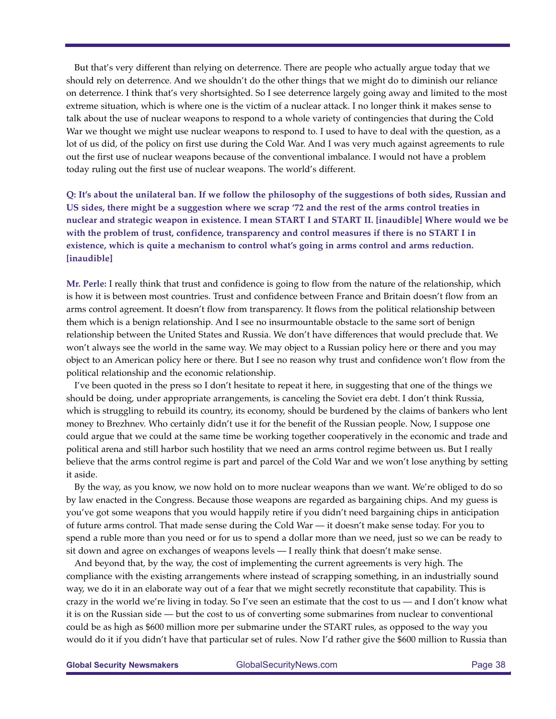But that's very different than relying on deterrence. There are people who actually argue today that we should rely on deterrence. And we shouldn't do the other things that we might do to diminish our reliance on deterrence. I think that's very shortsighted. So I see deterrence largely going away and limited to the most extreme situation, which is where one is the victim of a nuclear attack. I no longer think it makes sense to talk about the use of nuclear weapons to respond to a whole variety of contingencies that during the Cold War we thought we might use nuclear weapons to respond to. I used to have to deal with the question, as a lot of us did, of the policy on first use during the Cold War. And I was very much against agreements to rule out the first use of nuclear weapons because of the conventional imbalance. I would not have a problem today ruling out the first use of nuclear weapons. The world's different.

**Q: It's about the unilateral ban. If we follow the philosophy of the suggestions of both sides, Russian and US sides, there might be a suggestion where we scrap '72 and the rest of the arms control treaties in nuclear and strategic weapon in existence. I mean START I and START II. [inaudible] Where would we be with the problem of trust, confidence, transparency and control measures if there is no START I in existence, which is quite a mechanism to control what's going in arms control and arms reduction. [inaudible]**

**Mr. Perle:** I really think that trust and confidence is going to flow from the nature of the relationship, which is how it is between most countries. Trust and confidence between France and Britain doesn't flow from an arms control agreement. It doesn't flow from transparency. It flows from the political relationship between them which is a benign relationship. And I see no insurmountable obstacle to the same sort of benign relationship between the United States and Russia. We don't have differences that would preclude that. We won't always see the world in the same way. We may object to a Russian policy here or there and you may object to an American policy here or there. But I see no reason why trust and confidence won't flow from the political relationship and the economic relationship.

I've been quoted in the press so I don't hesitate to repeat it here, in suggesting that one of the things we should be doing, under appropriate arrangements, is canceling the Soviet era debt. I don't think Russia, which is struggling to rebuild its country, its economy, should be burdened by the claims of bankers who lent money to Brezhnev. Who certainly didn't use it for the benefit of the Russian people. Now, I suppose one could argue that we could at the same time be working together cooperatively in the economic and trade and political arena and still harbor such hostility that we need an arms control regime between us. But I really believe that the arms control regime is part and parcel of the Cold War and we won't lose anything by setting it aside.

By the way, as you know, we now hold on to more nuclear weapons than we want. We're obliged to do so by law enacted in the Congress. Because those weapons are regarded as bargaining chips. And my guess is you've got some weapons that you would happily retire if you didn't need bargaining chips in anticipation of future arms control. That made sense during the Cold War — it doesn't make sense today. For you to spend a ruble more than you need or for us to spend a dollar more than we need, just so we can be ready to sit down and agree on exchanges of weapons levels — I really think that doesn't make sense.

And beyond that, by the way, the cost of implementing the current agreements is very high. The compliance with the existing arrangements where instead of scrapping something, in an industrially sound way, we do it in an elaborate way out of a fear that we might secretly reconstitute that capability. This is crazy in the world we're living in today. So I've seen an estimate that the cost to us — and I don't know what it is on the Russian side — but the cost to us of converting some submarines from nuclear to conventional could be as high as \$600 million more per submarine under the START rules, as opposed to the way you would do it if you didn't have that particular set of rules. Now I'd rather give the \$600 million to Russia than